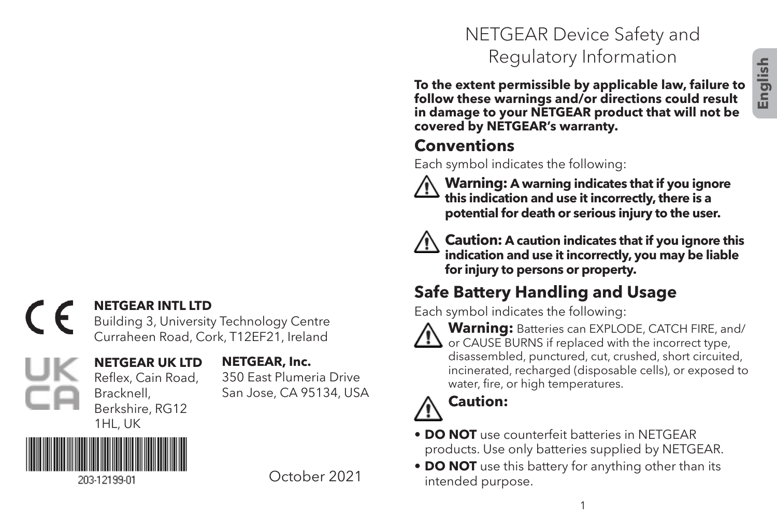#### **NETGEAR INTL LTD**  $\epsilon$

Building 3, University Technology Centre Curraheen Road, Cork, T12EF21, Ireland

# Jŀ

#### **NETGEAR UK LTD** Reflex, Cain Road, **NETGEAR, Inc.**

350 East Plumeria Drive San Jose, CA 95134, USA

203-12199-01

Bracknell, Berkshire, RG12 1HL, UK

October 2021

## NETGEAR Device Safety and Regulatory Information

**To the extent permissible by applicable law, failure to follow these warnings and/or directions could result in damage to your NETGEAR product that will not be covered by NETGEAR's warranty.**

#### **Conventions**

Each symbol indicates the following:



 **Warning: A warning indicates that if you ignore this indication and use it incorrectly, there is a potential for death or serious injury to the user.**



 **Caution: A caution indicates that if you ignore this indication and use it incorrectly, you may be liable for injury to persons or property.**

## **Safe Battery Handling and Usage**

Each symbol indicates the following:



**Warning:** Batteries can EXPLODE, CATCH FIRE, and/ or CAUSE BURNS if replaced with the incorrect type, disassembled, punctured, cut, crushed, short circuited, incinerated, recharged (disposable cells), or exposed to water, fire, or high temperatures.



### **Caution:**

- **DO NOT** use counterfeit batteries in NETGEAR products. Use only batteries supplied by NETGEAR.
- **DO NOT** use this battery for anything other than its intended purpose.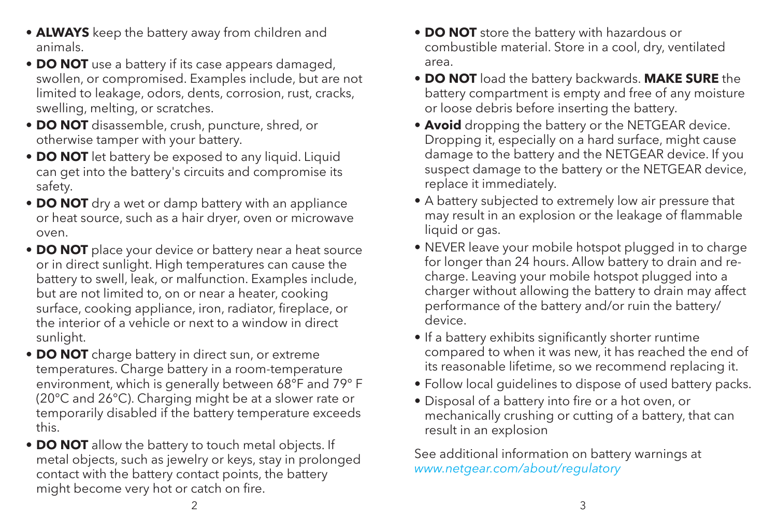- **ALWAYS** keep the battery away from children and animals.
- **DO NOT** use a battery if its case appears damaged, swollen, or compromised. Examples include, but are not limited to leakage, odors, dents, corrosion, rust, cracks, swelling, melting, or scratches.
- **DO NOT** disassemble, crush, puncture, shred, or otherwise tamper with your battery.
- **DO NOT** let battery be exposed to any liquid. Liquid can get into the battery's circuits and compromise its safety.
- **DO NOT** dry a wet or damp battery with an appliance or heat source, such as a hair dryer, oven or microwave oven.
- **DO NOT** place your device or battery near a heat source or in direct sunlight. High temperatures can cause the battery to swell, leak, or malfunction. Examples include, but are not limited to, on or near a heater, cooking surface, cooking appliance, iron, radiator, fireplace, or the interior of a vehicle or next to a window in direct sunlight.
- **DO NOT** charge battery in direct sun, or extreme temperatures. Charge battery in a room-temperature environment, which is generally between 68°F and 79° F (20°C and 26°C). Charging might be at a slower rate or temporarily disabled if the battery temperature exceeds this.
- **DO NOT** allow the battery to touch metal objects. If metal objects, such as jewelry or keys, stay in prolonged contact with the battery contact points, the battery might become very hot or catch on fire.
- **DO NOT** store the battery with hazardous or combustible material. Store in a cool, dry, ventilated area.
- **DO NOT** load the battery backwards. **MAKE SURE** the battery compartment is empty and free of any moisture or loose debris before inserting the battery.
- **Avoid** dropping the battery or the NETGEAR device. Dropping it, especially on a hard surface, might cause damage to the battery and the NETGEAR device. If you suspect damage to the battery or the NETGEAR device, replace it immediately.
- A battery subjected to extremely low air pressure that may result in an explosion or the leakage of flammable liquid or gas.
- NEVER leave your mobile hotspot plugged in to charge for longer than 24 hours. Allow battery to drain and recharge. Leaving your mobile hotspot plugged into a charger without allowing the battery to drain may affect performance of the battery and/or ruin the battery/ device.
- If a battery exhibits significantly shorter runtime compared to when it was new, it has reached the end of its reasonable lifetime, so we recommend replacing it.
- Follow local guidelines to dispose of used battery packs.
- Disposal of a battery into fire or a hot oven, or mechanically crushing or cutting of a battery, that can result in an explosion

See additional information on battery warnings at *www.netgear.com/about/regulatory*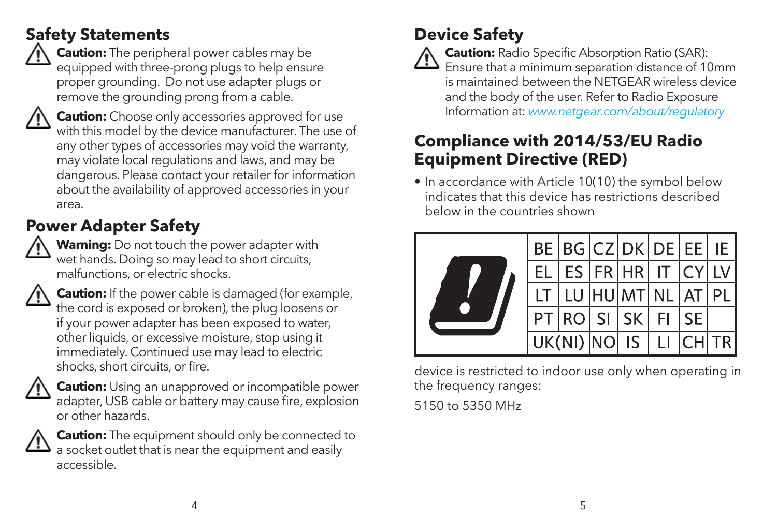#### **Safety Statements**



 **Caution:** The peripheral power cables may be equipped with three-prong plugs to help ensure proper grounding. Do not use adapter plugs or remove the grounding prong from a cable.



**Caution:** Choose only accessories approved for use with this model by the device manufacturer. The use of any other types of accessories may void the warranty may violate local regulations and laws, and may be dangerous. Please contact your retailer for information about the availability of approved accessories in your area.

## **Power Adapter Safety**

 **Warning:** Do not touch the power adapter with wet hands. Doing so may lead to short circuits, malfunctions, or electric shocks.



**Caution:** If the power cable is damaged (for example, the cord is exposed or broken), the plug loosens or if your power adapter has been exposed to water, other liquids, or excessive moisture, stop using it immediately. Continued use may lead to electric shocks, short circuits, or fire.



 **Caution:** Using an unapproved or incompatible power adapter, USB cable or battery may cause fire, explosion or other hazards.



**Caution:** The equipment should only be connected to a socket outlet that is near the equipment and easily accessible.

### **Device Safety**



 **Caution:** Radio Specific Absorption Ratio (SAR):  $\sum$  Ensure that a minimum separation distance of 10mm is maintained between the NETGEAR wireless device and the body of the user. Refer to Radio Exposure Information at: *www.netgear.com/about/regulatory*

#### **Compliance with 2014/53/EU Radio Equipment Directive (RED)**

• In accordance with Article 10(10) the symbol below indicates that this device has restrictions described below in the countries shown



device is restricted to indoor use only when operating in the frequency ranges: 5150 to 5350 MHz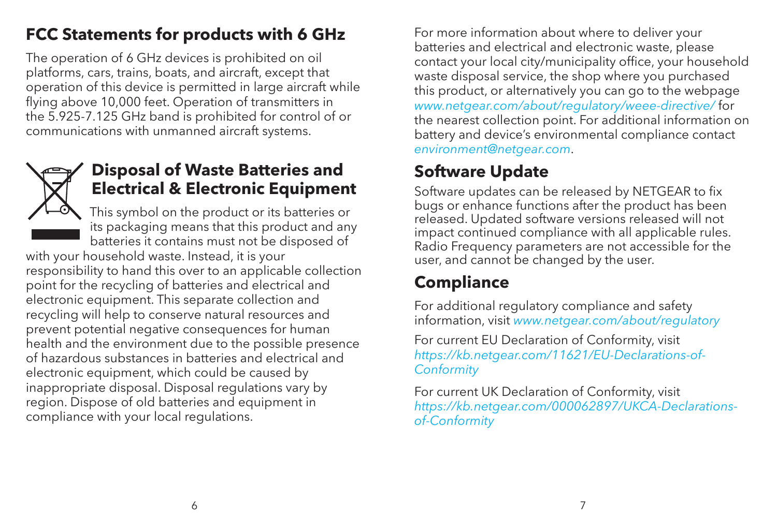#### **FCC Statements for products with 6 GHz**

The operation of 6 GHz devices is prohibited on oil platforms, cars, trains, boats, and aircraft, except that operation of this device is permitted in large aircraft while flying above 10,000 feet. Operation of transmitters in the 5.925-7.125 GHz band is prohibited for control of or communications with unmanned aircraft systems.



#### **Disposal of Waste Batteries and Electrical & Electronic Equipment**

This symbol on the product or its batteries or its packaging means that this product and any batteries it contains must not be disposed of

with your household waste. Instead, it is your responsibility to hand this over to an applicable collection point for the recycling of batteries and electrical and electronic equipment. This separate collection and recycling will help to conserve natural resources and prevent potential negative consequences for human health and the environment due to the possible presence of hazardous substances in batteries and electrical and electronic equipment, which could be caused by inappropriate disposal. Disposal regulations vary by region. Dispose of old batteries and equipment in compliance with your local regulations.

For more information about where to deliver your batteries and electrical and electronic waste, please contact your local city/municipality office, your household waste disposal service, the shop where you purchased this product, or alternatively you can go to the webpage *www.netgear.com/about/regulatory/weee-directive/* for the nearest collection point. For additional information on battery and device's environmental compliance contact *environment@netgear.com*.

#### **Software Update**

Software updates can be released by NETGEAR to fix bugs or enhance functions after the product has been released. Updated software versions released will not impact continued compliance with all applicable rules. Radio Frequency parameters are not accessible for the user, and cannot be changed by the user.

#### **Compliance**

For additional regulatory compliance and safety information, visit *www.netgear.com/about/regulatory*

For current EU Declaration of Conformity, visit *https://kb.netgear.com/11621/EU-Declarations-of-Conformity*

For current UK Declaration of Conformity, visit *https://kb.netgear.com/000062897/UKCA-Declarationsof-Conformity*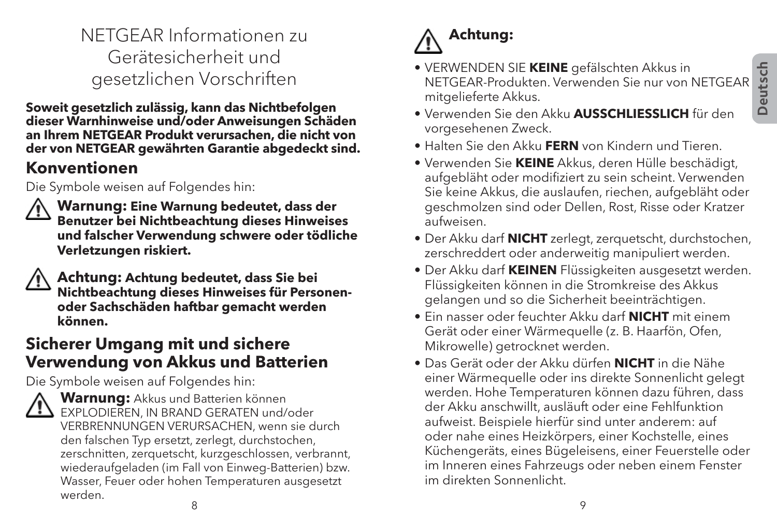#### NETGEAR Informationen zu Gerätesicherheit und gesetzlichen Vorschriften

**Soweit gesetzlich zulässig, kann das Nichtbefolgen dieser Warnhinweise und/oder Anweisungen Schäden an Ihrem NETGEAR Produkt verursachen, die nicht von der von NETGEAR gewährten Garantie abgedeckt sind.**

#### **Konventionen**

Die Symbole weisen auf Folgendes hin:



 **Warnung: Eine Warnung bedeutet, dass der Benutzer bei Nichtbeachtung dieses Hinweises und falscher Verwendung schwere oder tödliche Verletzungen riskiert.**

 **Achtung: Achtung bedeutet, dass Sie bei Nichtbeachtung dieses Hinweises für Personenoder Sachschäden haftbar gemacht werden können.**

#### **Sicherer Umgang mit und sichere Verwendung von Akkus und Batterien**

Die Symbole weisen auf Folgendes hin:



 **Warnung:** Akkus und Batterien können EXPLODIEREN, IN BRAND GERATEN und/oder VERBRENNUNGEN VERURSACHEN, wenn sie durch den falschen Typ ersetzt, zerlegt, durchstochen, zerschnitten, zerquetscht, kurzgeschlossen, verbrannt, wiederaufgeladen (im Fall von Einweg-Batterien) bzw. Wasser, Feuer oder hohen Temperaturen ausgesetzt werden.

# **Achtung:**

- VERWENDEN SIE **KEINE** gefälschten Akkus in NETGEAR-Produkten. Verwenden Sie nur von NETGEAR mitgelieferte Akkus.
- Verwenden Sie den Akku **AUSSCHLIESSLICH** für den vorgesehenen Zweck.
- Halten Sie den Akku **FERN** von Kindern und Tieren.
- Verwenden Sie **KEINE** Akkus, deren Hülle beschädigt, aufgebläht oder modifiziert zu sein scheint. Verwenden Sie keine Akkus, die auslaufen, riechen, aufgebläht oder geschmolzen sind oder Dellen, Rost, Risse oder Kratzer aufweisen.
- Der Akku darf **NICHT** zerlegt, zerquetscht, durchstochen, zerschreddert oder anderweitig manipuliert werden.
- Der Akku darf **KEINEN** Flüssigkeiten ausgesetzt werden. Flüssigkeiten können in die Stromkreise des Akkus gelangen und so die Sicherheit beeinträchtigen.
- Ein nasser oder feuchter Akku darf **NICHT** mit einem Gerät oder einer Wärmequelle (z. B. Haarfön, Ofen, Mikrowelle) getrocknet werden.
- Das Gerät oder der Akku dürfen **NICHT** in die Nähe einer Wärmequelle oder ins direkte Sonnenlicht gelegt werden. Hohe Temperaturen können dazu führen, dass der Akku anschwillt, ausläuft oder eine Fehlfunktion aufweist. Beispiele hierfür sind unter anderem: auf oder nahe eines Heizkörpers, einer Kochstelle, eines Küchengeräts, eines Bügeleisens, einer Feuerstelle oder im Inneren eines Fahrzeugs oder neben einem Fenster im direkten Sonnenlicht.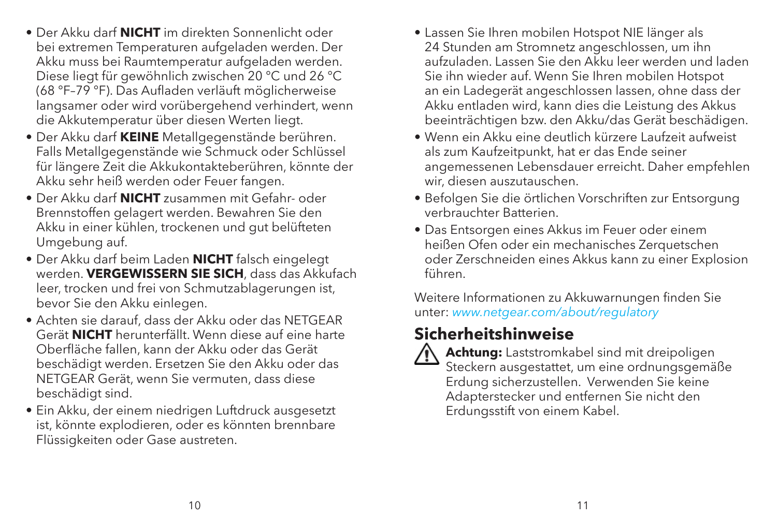- Der Akku darf **NICHT** im direkten Sonnenlicht oder bei extremen Temperaturen aufgeladen werden. Der Akku muss bei Raumtemperatur aufgeladen werden. Diese liegt für gewöhnlich zwischen 20 °C und 26 °C (68 °F–79 °F). Das Aufladen verläuft möglicherweise langsamer oder wird vorübergehend verhindert, wenn die Akkutemperatur über diesen Werten liegt.
- Der Akku darf **KEINE** Metallgegenstände berühren. Falls Metallgegenstände wie Schmuck oder Schlüssel für längere Zeit die Akkukontakteberühren, könnte der Akku sehr heiß werden oder Feuer fangen.
- Der Akku darf **NICHT** zusammen mit Gefahr- oder Brennstoffen gelagert werden. Bewahren Sie den Akku in einer kühlen, trockenen und gut belüfteten Umgebung auf.
- Der Akku darf beim Laden **NICHT** falsch eingelegt werden. **VERGEWISSERN SIE SICH**, dass das Akkufach leer, trocken und frei von Schmutzablagerungen ist, bevor Sie den Akku einlegen.
- Achten sie darauf, dass der Akku oder das NETGEAR Gerät **NICHT** herunterfällt. Wenn diese auf eine harte Oberfläche fallen, kann der Akku oder das Gerät beschädigt werden. Ersetzen Sie den Akku oder das NETGEAR Gerät, wenn Sie vermuten, dass diese beschädigt sind.
- Ein Akku, der einem niedrigen Luftdruck ausgesetzt ist, könnte explodieren, oder es könnten brennbare Flüssigkeiten oder Gase austreten.
- Lassen Sie Ihren mobilen Hotspot NIE länger als 24 Stunden am Stromnetz angeschlossen, um ihn aufzuladen. Lassen Sie den Akku leer werden und laden Sie ihn wieder auf. Wenn Sie Ihren mobilen Hotspot an ein Ladegerät angeschlossen lassen, ohne dass der Akku entladen wird, kann dies die Leistung des Akkus beeinträchtigen bzw. den Akku/das Gerät beschädigen.
- Wenn ein Akku eine deutlich kürzere Laufzeit aufweist als zum Kaufzeitpunkt, hat er das Ende seiner angemessenen Lebensdauer erreicht. Daher empfehlen wir, diesen auszutauschen.
- Befolgen Sie die örtlichen Vorschriften zur Entsorgung verbrauchter Batterien.
- Das Entsorgen eines Akkus im Feuer oder einem heißen Ofen oder ein mechanisches Zerquetschen oder Zerschneiden eines Akkus kann zu einer Explosion führen.

Weitere Informationen zu Akkuwarnungen finden Sie unter: *www.netgear.com/about/regulatory*

#### **Sicherheitshinweise**

 **Achtung:** Laststromkabel sind mit dreipoligen Steckern ausgestattet, um eine ordnungsgemäße Erdung sicherzustellen. Verwenden Sie keine Adapterstecker und entfernen Sie nicht den Erdungsstift von einem Kabel.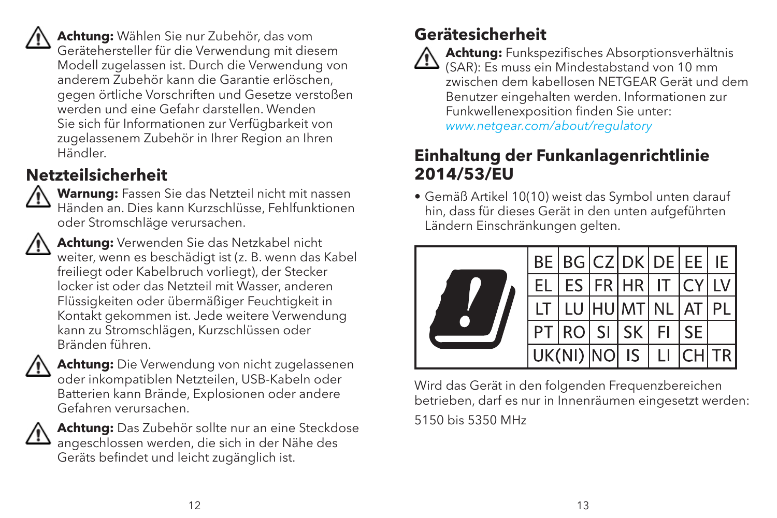**Achtung:** Wählen Sie nur Zubehör, das vom Gerätehersteller für die Verwendung mit diesem Modell zugelassen ist. Durch die Verwendung von anderem Zubehör kann die Garantie erlöschen, gegen örtliche Vorschriften und Gesetze verstoßen werden und eine Gefahr darstellen. Wenden Sie sich für Informationen zur Verfügbarkeit von zugelassenem Zubehör in Ihrer Region an Ihren Händler.

#### **Netzteilsicherheit**



 **Warnung:** Fassen Sie das Netzteil nicht mit nassen Händen an. Dies kann Kurzschlüsse, Fehlfunktionen oder Stromschläge verursachen.



 **Achtung:** Verwenden Sie das Netzkabel nicht weiter, wenn es beschädigt ist (z. B. wenn das Kabel freiliegt oder Kabelbruch vorliegt), der Stecker locker ist oder das Netzteil mit Wasser, anderen Flüssigkeiten oder übermäßiger Feuchtigkeit in Kontakt gekommen ist. Jede weitere Verwendung kann zu Stromschlägen, Kurzschlüssen oder Bränden führen.



 **Achtung:** Die Verwendung von nicht zugelassenen oder inkompatiblen Netzteilen, USB-Kabeln oder Batterien kann Brände, Explosionen oder andere Gefahren verursachen.



 **Achtung:** Das Zubehör sollte nur an eine Steckdose angeschlossen werden, die sich in der Nähe des Geräts befindet und leicht zugänglich ist.

#### **Gerätesicherheit**



 **Achtung:** Funkspezifisches Absorptionsverhältnis  $\sum$  (SAR): Es muss ein Mindestabstand von 10 mm zwischen dem kabellosen NETGEAR Gerät und dem Benutzer eingehalten werden. Informationen zur Funkwellenexposition finden Sie unter: *www.netgear.com/about/regulatory*

#### **Einhaltung der Funkanlagenrichtlinie 2014/53/EU**

• Gemäß Artikel 10(10) weist das Symbol unten darauf hin, dass für dieses Gerät in den unten aufgeführten Ländern Einschränkungen gelten.



Wird das Gerät in den folgenden Frequenzbereichen betrieben, darf es nur in Innenräumen eingesetzt werden: 5150 bis 5350 MHz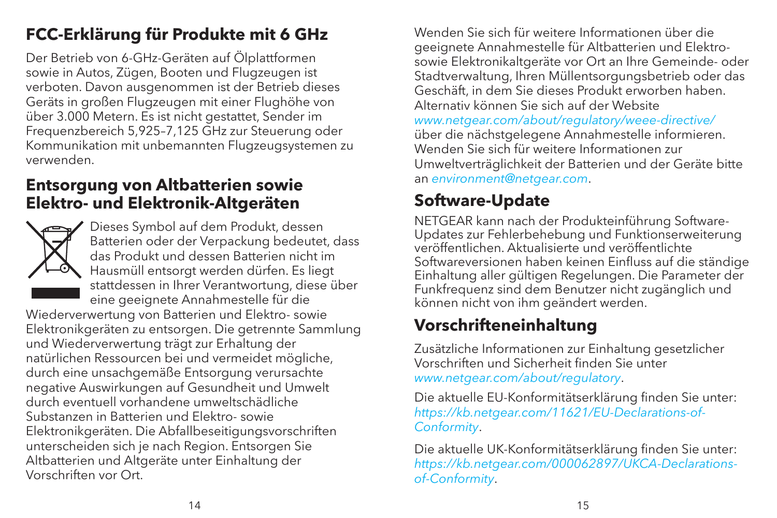#### **FCC-Erklärung für Produkte mit 6 GHz**

Der Betrieb von 6-GHz-Geräten auf Ölplattformen sowie in Autos, Zügen, Booten und Flugzeugen ist verboten. Davon ausgenommen ist der Betrieb dieses Geräts in großen Flugzeugen mit einer Flughöhe von über 3.000 Metern. Es ist nicht gestattet, Sender im Frequenzbereich 5,925–7,125 GHz zur Steuerung oder Kommunikation mit unbemannten Flugzeugsystemen zu verwenden.

#### **Entsorgung von Altbatterien sowie Elektro- und Elektronik-Altgeräten**



Dieses Symbol auf dem Produkt, dessen Batterien oder der Verpackung bedeutet, dass das Produkt und dessen Batterien nicht im Hausmüll entsorgt werden dürfen. Es liegt stattdessen in Ihrer Verantwortung, diese über eine geeignete Annahmestelle für die

Wiederverwertung von Batterien und Elektro- sowie Elektronikgeräten zu entsorgen. Die getrennte Sammlung und Wiederverwertung trägt zur Erhaltung der natürlichen Ressourcen bei und vermeidet mögliche, durch eine unsachgemäße Entsorgung verursachte negative Auswirkungen auf Gesundheit und Umwelt durch eventuell vorhandene umweltschädliche Substanzen in Batterien und Elektro- sowie Elektronikgeräten. Die Abfallbeseitigungsvorschriften unterscheiden sich je nach Region. Entsorgen Sie Altbatterien und Altgeräte unter Einhaltung der Vorschriften vor Ort.

Wenden Sie sich für weitere Informationen über die geeignete Annahmestelle für Altbatterien und Elektrosowie Elektronikaltgeräte vor Ort an Ihre Gemeinde- oder Stadtverwaltung, Ihren Müllentsorgungsbetrieb oder das Geschäft, in dem Sie dieses Produkt erworben haben. Alternativ können Sie sich auf der Website *www.netgear.com/about/regulatory/weee-directive/* über die nächstgelegene Annahmestelle informieren. Wenden Sie sich für weitere Informationen zur Umweltverträglichkeit der Batterien und der Geräte bitte an *environment@netgear.com*.

#### **Software-Update**

NETGEAR kann nach der Produkteinführung Software-Updates zur Fehlerbehebung und Funktionserweiterung veröffentlichen. Aktualisierte und veröffentlichte Softwareversionen haben keinen Einfluss auf die ständige Einhaltung aller gültigen Regelungen. Die Parameter der Funkfrequenz sind dem Benutzer nicht zugänglich und können nicht von ihm geändert werden.

#### **Vorschrifteneinhaltung**

Zusätzliche Informationen zur Einhaltung gesetzlicher Vorschriften und Sicherheit finden Sie unter *www.netgear.com/about/regulatory*.

Die aktuelle EU-Konformitätserklärung finden Sie unter: *https://kb.netgear.com/11621/EU-Declarations-of-Conformity*.

Die aktuelle UK-Konformitätserklärung finden Sie unter: *https://kb.netgear.com/000062897/UKCA-Declarationsof-Conformity*.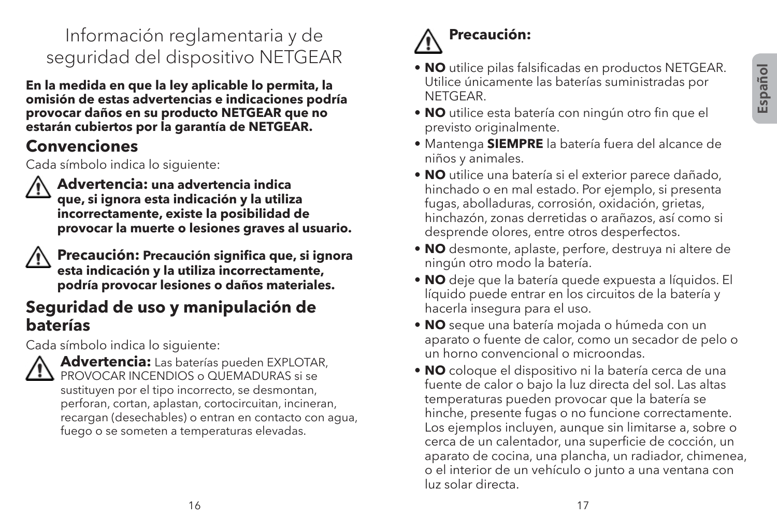#### Información reglamentaria y de seguridad del dispositivo NETGEAR

**En la medida en que la ley aplicable lo permita, la omisión de estas advertencias e indicaciones podría provocar daños en su producto NETGEAR que no estarán cubiertos por la garantía de NETGEAR.**

#### **Convenciones**

Cada símbolo indica lo siguiente:



 **Advertencia: una advertencia indica que, si ignora esta indicación y la utiliza incorrectamente, existe la posibilidad de provocar la muerte o lesiones graves al usuario.**



 **Precaución: Precaución significa que, si ignora esta indicación y la utiliza incorrectamente, podría provocar lesiones o daños materiales.**

#### **Seguridad de uso y manipulación de baterías**

Cada símbolo indica lo siguiente:



 **Advertencia:** Las baterías pueden EXPLOTAR, PROVOCAR INCENDIOS o QUEMADURAS si se sustituyen por el tipo incorrecto, se desmontan, perforan, cortan, aplastan, cortocircuitan, incineran, recargan (desechables) o entran en contacto con agua, fuego o se someten a temperaturas elevadas.

# **Precaución:**

- **NO** utilice pilas falsificadas en productos NETGEAR. Utilice únicamente las baterías suministradas por **NETGEAR**
- **NO** utilice esta batería con ningún otro fin que el previsto originalmente.
- Mantenga **SIEMPRE** la batería fuera del alcance de niños y animales.
- **NO** utilice una batería si el exterior parece dañado, hinchado o en mal estado. Por ejemplo, si presenta fugas, abolladuras, corrosión, oxidación, grietas, hinchazón, zonas derretidas o arañazos, así como si desprende olores, entre otros desperfectos.
- **NO** desmonte, aplaste, perfore, destruya ni altere de ningún otro modo la batería.
- **NO** deje que la batería quede expuesta a líquidos. El líquido puede entrar en los circuitos de la batería y hacerla insegura para el uso.
- **NO** seque una batería mojada o húmeda con un aparato o fuente de calor, como un secador de pelo o un horno convencional o microondas.
- **NO** coloque el dispositivo ni la batería cerca de una fuente de calor o bajo la luz directa del sol. Las altas temperaturas pueden provocar que la batería se hinche, presente fugas o no funcione correctamente. Los ejemplos incluyen, aunque sin limitarse a, sobre o cerca de un calentador, una superficie de cocción, un aparato de cocina, una plancha, un radiador, chimenea, o el interior de un vehículo o junto a una ventana con luz solar directa.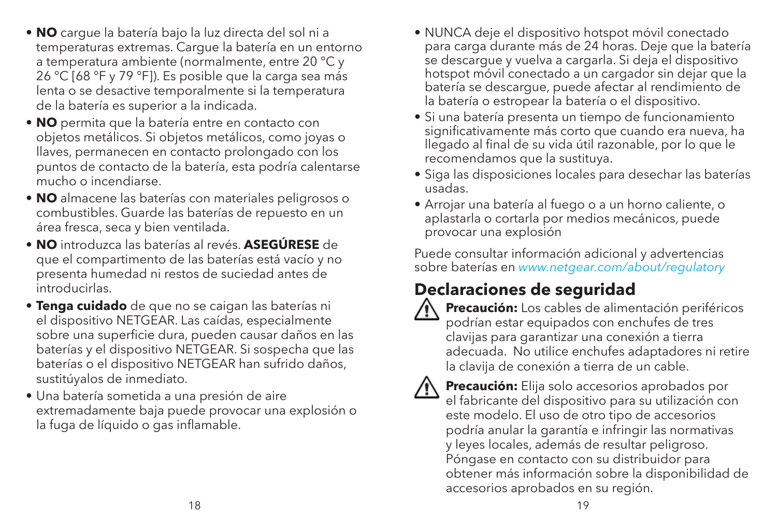- **NO** cargue la batería bajo la luz directa del sol ni a temperaturas extremas. Cargue la batería en un entorno a temperatura ambiente (normalmente, entre 20 °C y 26 °C [68 °F y 79 °F]). Es posible que la carga sea más lenta o se desactive temporalmente si la temperatura de la batería es superior a la indicada.
- **NO** permita que la batería entre en contacto con objetos metálicos. Si objetos metálicos, como joyas o llaves, permanecen en contacto prolongado con los puntos de contacto de la batería, esta podría calentarse mucho o incendiarse.
- **NO** almacene las baterías con materiales peligrosos o combustibles. Guarde las baterías de repuesto en un área fresca, seca y bien ventilada.
- **NO** introduzca las baterías al revés. **ASEGÚRESE** de que el compartimento de las baterías está vacío y no presenta humedad ni restos de suciedad antes de introducirlas.
- **Tenga cuidado** de que no se caigan las baterías ni el dispositivo NETGEAR. Las caídas, especialmente sobre una superficie dura, pueden causar daños en las baterías y el dispositivo NETGEAR. Si sospecha que las baterías o el dispositivo NETGEAR han sufrido daños, sustitúyalos de inmediato.
- Una batería sometida a una presión de aire extremadamente baja puede provocar una explosión o la fuga de líquido o gas inflamable.
- NUNCA deje el dispositivo hotspot móvil conectado para carga durante más de 24 horas. Deje que la batería se descargue y vuelva a cargarla. Si deja el dispositivo hotspot móvil conectado a un cargador sin dejar que la batería se descargue, puede afectar al rendimiento de la batería o estropear la batería o el dispositivo.
- Si una batería presenta un tiempo de funcionamiento significativamente más corto que cuando era nueva, ha llegado al final de su vida útil razonable, por lo que le recomendamos que la sustituya.
- Siga las disposiciones locales para desechar las baterías usadas.
- Arrojar una batería al fuego o a un horno caliente, o aplastarla o cortarla por medios mecánicos, puede provocar una explosión

Puede consultar información adicional y advertencias sobre baterías en *www.netgear.com/about/regulatory*

#### **Declaraciones de seguridad**



 **Precaución:** Los cables de alimentación periféricos podrían estar equipados con enchufes de tres clavijas para garantizar una conexión a tierra adecuada. No utilice enchufes adaptadores ni retire la clavija de conexión a tierra de un cable.



 **Precaución:** Elija solo accesorios aprobados por el fabricante del dispositivo para su utilización con este modelo. El uso de otro tipo de accesorios podría anular la garantía e infringir las normativas y leyes locales, además de resultar peligroso. Póngase en contacto con su distribuidor para obtener más información sobre la disponibilidad de accesorios aprobados en su región.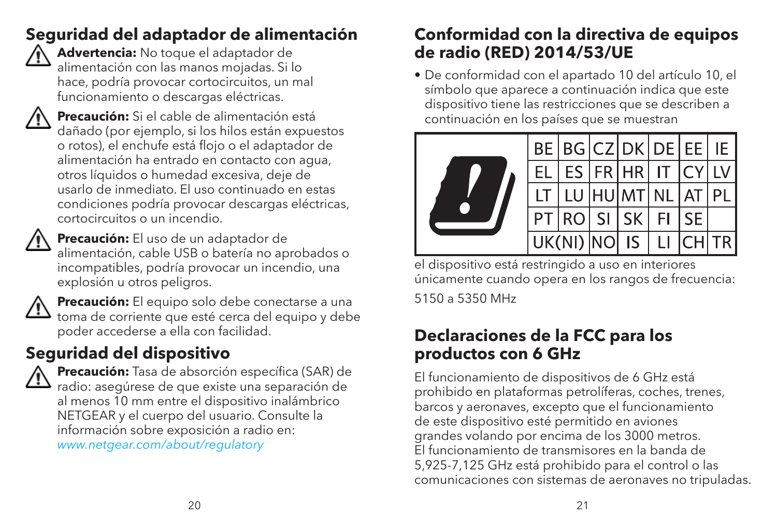#### **Seguridad del adaptador de alimentación**



 **Advertencia:** No toque el adaptador de alimentación con las manos mojadas. Si lo hace, podría provocar cortocircuitos, un mal funcionamiento o descargas eléctricas.



 **Precaución:** Si el cable de alimentación está dañado (por ejemplo, si los hilos están expuestos o rotos), el enchufe está flojo o el adaptador de alimentación ha entrado en contacto con agua, otros líquidos o humedad excesiva, deje de usarlo de inmediato. El uso continuado en estas condiciones podría provocar descargas eléctricas, cortocircuitos o un incendio.



 **Precaución:** El uso de un adaptador de alimentación, cable USB o batería no aprobados o incompatibles, podría provocar un incendio, una explosión u otros peligros.



 **Precaución:** El equipo solo debe conectarse a una  $\frac{11}{21}$  toma de corriente que esté cerca del equipo y debe poder accederse a ella con facilidad.

### **Seguridad del dispositivo**



 **Precaución:** Tasa de absorción específica (SAR) de ristantes.<br>Tipos de que existe una separación de al menos 10 mm entre el dispositivo inalámbrico NETGEAR y el cuerpo del usuario. Consulte la información sobre exposición a radio en: *www.netgear.com/about/regulatory*

#### **Conformidad con la directiva de equipos de radio (RED) 2014/53/UE**

• De conformidad con el apartado 10 del artículo 10, el símbolo que aparece a continuación indica que este dispositivo tiene las restricciones que se describen a continuación en los países que se muestran



el dispositivo está restringido a uso en interiores únicamente cuando opera en los rangos de frecuencia: 5150 a 5350 MHz

#### **Declaraciones de la FCC para los productos con 6 GHz**

El funcionamiento de dispositivos de 6 GHz está prohibido en plataformas petrolíferas, coches, trenes, barcos y aeronaves, excepto que el funcionamiento de este dispositivo esté permitido en aviones grandes volando por encima de los 3000 metros. El funcionamiento de transmisores en la banda de 5,925-7,125 GHz está prohibido para el control o las comunicaciones con sistemas de aeronaves no tripuladas.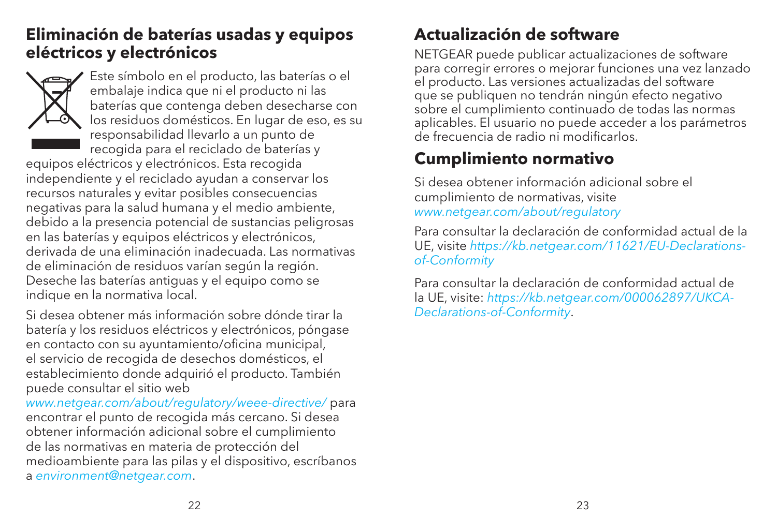#### **Eliminación de baterías usadas y equipos eléctricos y electrónicos**



Este símbolo en el producto, las baterías o el embalaje indica que ni el producto ni las baterías que contenga deben desecharse con los residuos domésticos. En lugar de eso, es su responsabilidad llevarlo a un punto de recogida para el reciclado de baterías y

equipos eléctricos y electrónicos. Esta recogida independiente y el reciclado ayudan a conservar los recursos naturales y evitar posibles consecuencias negativas para la salud humana y el medio ambiente, debido a la presencia potencial de sustancias peligrosas en las baterías y equipos eléctricos y electrónicos, derivada de una eliminación inadecuada. Las normativas de eliminación de residuos varían según la región. Deseche las baterías antiguas y el equipo como se indique en la normativa local.

Si desea obtener más información sobre dónde tirar la batería y los residuos eléctricos y electrónicos, póngase en contacto con su ayuntamiento/oficina municipal, el servicio de recogida de desechos domésticos, el establecimiento donde adquirió el producto. También puede consultar el sitio web

*www.netgear.com/about/regulatory/weee-directive/* para encontrar el punto de recogida más cercano. Si desea obtener información adicional sobre el cumplimiento de las normativas en materia de protección del medioambiente para las pilas y el dispositivo, escríbanos a *environment@netgear.com*.

#### **Actualización de software**

NETGEAR puede publicar actualizaciones de software para corregir errores o mejorar funciones una vez lanzado el producto. Las versiones actualizadas del software que se publiquen no tendrán ningún efecto negativo sobre el cumplimiento continuado de todas las normas aplicables. El usuario no puede acceder a los parámetros de frecuencia de radio ni modificarlos.

#### **Cumplimiento normativo**

Si desea obtener información adicional sobre el cumplimiento de normativas, visite *www.netgear.com/about/regulatory*

Para consultar la declaración de conformidad actual de la UE, visite *https://kb.netgear.com/11621/EU-Declarationsof-Conformity*

Para consultar la declaración de conformidad actual de la UE, visite: *https://kb.netgear.com/000062897/UKCA-Declarations-of-Conformity*.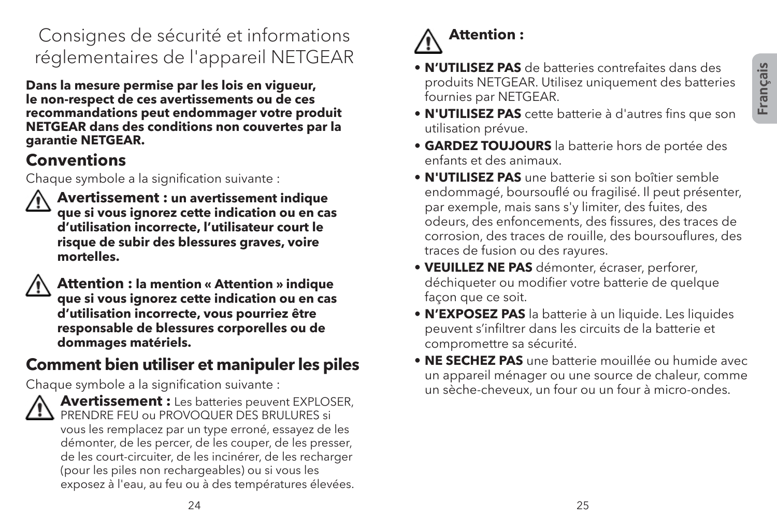#### Consignes de sécurité et informations réglementaires de l'appareil NETGEAR

**Dans la mesure permise par les lois en vigueur, le non-respect de ces avertissements ou de ces recommandations peut endommager votre produit NETGEAR dans des conditions non couvertes par la garantie NETGEAR.**

#### **Conventions**

Chaque symbole a la signification suivante :



 **Avertissement : un avertissement indique que si vous ignorez cette indication ou en cas d'utilisation incorrecte, l'utilisateur court le risque de subir des blessures graves, voire mortelles.**

 **Attention : la mention « Attention » indique que si vous ignorez cette indication ou en cas d'utilisation incorrecte, vous pourriez être responsable de blessures corporelles ou de dommages matériels.**

#### **Comment bien utiliser et manipuler les piles**

Chaque symbole a la signification suivante :



 **Avertissement :** Les batteries peuvent EXPLOSER,  $\mathbf{B}$  PRENDRE FEU ou PROVOQUER DES BRULURES si vous les remplacez par un type erroné, essayez de les démonter, de les percer, de les couper, de les presser, de les court-circuiter, de les incinérer, de les recharger (pour les piles non rechargeables) ou si vous les exposez à l'eau, au feu ou à des températures élevées.

# **Attention :**

- **N'UTILISEZ PAS** de batteries contrefaites dans des produits NETGEAR. Utilisez uniquement des batteries fournies par NETGEAR.
- **N'UTILISEZ PAS** cette batterie à d'autres fins que son utilisation prévue.
- **GARDEZ TOUJOURS** la batterie hors de portée des enfants et des animaux.
- **N'UTILISEZ PAS** une batterie si son boîtier semble endommagé, boursouflé ou fragilisé. Il peut présenter, par exemple, mais sans s'y limiter, des fuites, des odeurs, des enfoncements, des fissures, des traces de corrosion, des traces de rouille, des boursouflures, des traces de fusion ou des rayures.
- **VEUILLEZ NE PAS** démonter, écraser, perforer, déchiqueter ou modifier votre batterie de quelque facon que ce soit.
- **N'EXPOSEZ PAS** la batterie à un liquide. Les liquides peuvent s'infiltrer dans les circuits de la batterie et compromettre sa sécurité.
- **NE SECHEZ PAS** une batterie mouillée ou humide avec un appareil ménager ou une source de chaleur, comme un sèche-cheveux, un four ou un four à micro-ondes.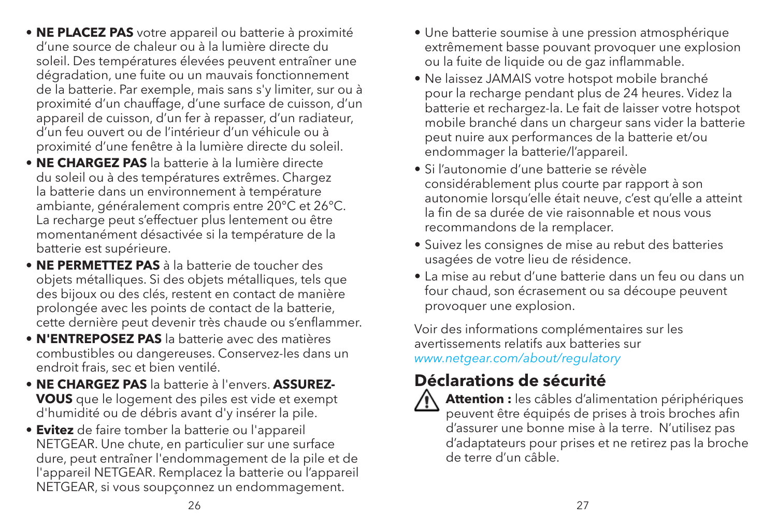- **NE PLACEZ PAS** votre appareil ou batterie à proximité d'une source de chaleur ou à la lumière directe du soleil. Des températures élevées peuvent entraîner une dégradation, une fuite ou un mauvais fonctionnement de la batterie. Par exemple, mais sans s'y limiter, sur ou à proximité d'un chauffage, d'une surface de cuisson, d'un appareil de cuisson, d'un fer à repasser, d'un radiateur, d'un feu ouvert ou de l'intérieur d'un véhicule ou à proximité d'une fenêtre à la lumière directe du soleil.
- **NE CHARGEZ PAS** la batterie à la lumière directe du soleil ou à des températures extrêmes. Chargez la batterie dans un environnement à température ambiante, généralement compris entre 20°C et 26°C. La recharge peut s'effectuer plus lentement ou être momentanément désactivée si la température de la batterie est supérieure.
- **NE PERMETTEZ PAS** à la batterie de toucher des objets métalliques. Si des objets métalliques, tels que des bijoux ou des clés, restent en contact de manière prolongée avec les points de contact de la batterie, cette dernière peut devenir très chaude ou s'enflammer.
- **N'ENTREPOSEZ PAS** la batterie avec des matières combustibles ou dangereuses. Conservez-les dans un endroit frais, sec et bien ventilé.
- **NE CHARGEZ PAS** la batterie à l'envers. **ASSUREZ-VOUS** que le logement des piles est vide et exempt d'humidité ou de débris avant d'y insérer la pile.
- **Evitez** de faire tomber la batterie ou l'appareil NETGEAR. Une chute, en particulier sur une surface dure, peut entraîner l'endommagement de la pile et de l'appareil NETGEAR. Remplacez la batterie ou l'appareil NETGEAR, si vous soupçonnez un endommagement.
- Une batterie soumise à une pression atmosphérique extrêmement basse pouvant provoquer une explosion ou la fuite de liquide ou de gaz inflammable.
- Ne laissez JAMAIS votre hotspot mobile branché pour la recharge pendant plus de 24 heures. Videz la batterie et rechargez-la. Le fait de laisser votre hotspot mobile branché dans un chargeur sans vider la batterie peut nuire aux performances de la batterie et/ou endommager la batterie/l'appareil.
- Si l'autonomie d'une batterie se révèle considérablement plus courte par rapport à son autonomie lorsqu'elle était neuve, c'est qu'elle a atteint la fin de sa durée de vie raisonnable et nous vous recommandons de la remplacer.
- Suivez les consignes de mise au rebut des batteries usagées de votre lieu de résidence.
- La mise au rebut d'une batterie dans un feu ou dans un four chaud, son écrasement ou sa découpe peuvent provoquer une explosion.

Voir des informations complémentaires sur les avertissements relatifs aux batteries sur *www.netgear.com/about/regulatory*

#### **Déclarations de sécurité**



Attention : les câbles d'alimentation périphériques peuvent être équipés de prises à trois broches afin d'assurer une bonne mise à la terre. N'utilisez pas d'adaptateurs pour prises et ne retirez pas la broche de terre d'un câble.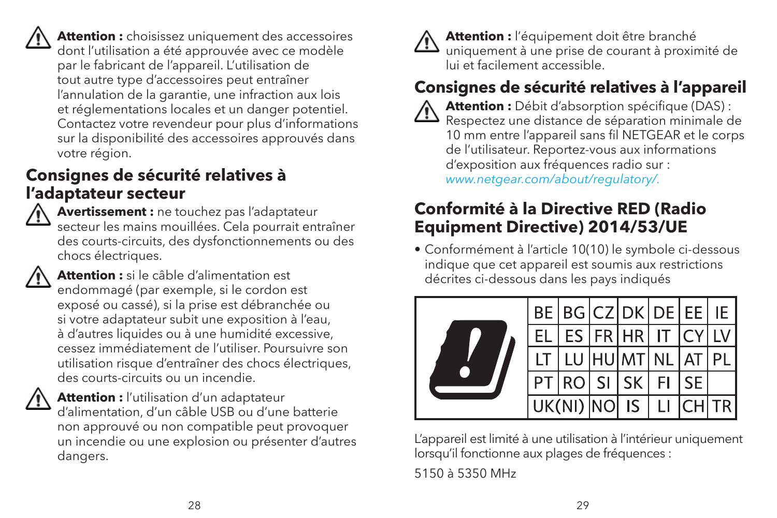

 **Attention :** choisissez uniquement des accessoires dont l'utilisation a été approuvée avec ce modèle par le fabricant de l'appareil. L'utilisation de tout autre type d'accessoires peut entraîner l'annulation de la garantie, une infraction aux lois et réglementations locales et un danger potentiel. Contactez votre revendeur pour plus d'informations sur la disponibilité des accessoires approuvés dans votre région.

#### **Consignes de sécurité relatives à l'adaptateur secteur**



 **Avertissement :** ne touchez pas l'adaptateur secteur les mains mouillées. Cela pourrait entraîner des courts-circuits, des dysfonctionnements ou des chocs électriques.



 **Attention :** si le câble d'alimentation est endommagé (par exemple, si le cordon est exposé ou cassé), si la prise est débranchée ou si votre adaptateur subit une exposition à l'eau, à d'autres liquides ou à une humidité excessive, cessez immédiatement de l'utiliser. Poursuivre son utilisation risque d'entraîner des chocs électriques, des courts-circuits ou un incendie.



 **Attention :** l'utilisation d'un adaptateur d'alimentation, d'un câble USB ou d'une batterie non approuvé ou non compatible peut provoquer un incendie ou une explosion ou présenter d'autres dangers.

 **Attention :** l'équipement doit être branché uniquement à une prise de courant à proximité de lui et facilement accessible.

### **Consignes de sécurité relatives à l'appareil**

 **Attention :** Débit d'absorption spécifique (DAS) : Respectez une distance de séparation minimale de 10 mm entre l'appareil sans fil NETGEAR et le corps de l'utilisateur. Reportez-vous aux informations d'exposition aux fréquences radio sur : *www.netgear.com/about/regulatory/.*

#### **Conformité à la Directive RED (Radio Equipment Directive) 2014/53/UE**

• Conformément à l'article 10(10) le symbole ci-dessous indique que cet appareil est soumis aux restrictions décrites ci-dessous dans les pays indiqués



L'appareil est limité à une utilisation à l'intérieur uniquement lorsqu'il fonctionne aux plages de fréquences :

5150 à 5350 MHz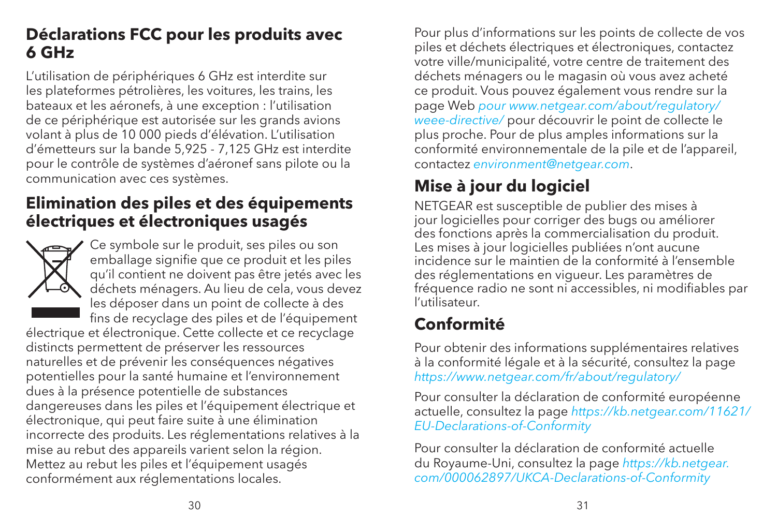#### **Déclarations FCC pour les produits avec 6 GHz**

L'utilisation de périphériques 6 GHz est interdite sur les plateformes pétrolières, les voitures, les trains, les bateaux et les aéronefs, à une exception : l'utilisation de ce périphérique est autorisée sur les grands avions volant à plus de 10 000 pieds d'élévation. L'utilisation d'émetteurs sur la bande 5,925 - 7,125 GHz est interdite pour le contrôle de systèmes d'aéronef sans pilote ou la communication avec ces systèmes.

#### **Elimination des piles et des équipements électriques et électroniques usagés**



Ce symbole sur le produit, ses piles ou son emballage signifie que ce produit et les piles qu'il contient ne doivent pas être jetés avec les déchets ménagers. Au lieu de cela, vous devez les déposer dans un point de collecte à des fins de recyclage des piles et de l'équipement

électrique et électronique. Cette collecte et ce recyclage distincts permettent de préserver les ressources naturelles et de prévenir les conséquences négatives potentielles pour la santé humaine et l'environnement dues à la présence potentielle de substances dangereuses dans les piles et l'équipement électrique et électronique, qui peut faire suite à une élimination incorrecte des produits. Les réglementations relatives à la mise au rebut des appareils varient selon la région. Mettez au rebut les piles et l'équipement usagés conformément aux réglementations locales.

Pour plus d'informations sur les points de collecte de vos piles et déchets électriques et électroniques, contactez votre ville/municipalité, votre centre de traitement des déchets ménagers ou le magasin où vous avez acheté ce produit. Vous pouvez également vous rendre sur la page Web *pour www.netgear.com/about/regulatory/ weee-directive/* pour découvrir le point de collecte le plus proche. Pour de plus amples informations sur la conformité environnementale de la pile et de l'appareil, contactez *environment@netgear.com*.

#### **Mise à jour du logiciel**

NETGEAR est susceptible de publier des mises à jour logicielles pour corriger des bugs ou améliorer des fonctions après la commercialisation du produit. Les mises à jour logicielles publiées n'ont aucune incidence sur le maintien de la conformité à l'ensemble des réglementations en vigueur. Les paramètres de fréquence radio ne sont ni accessibles, ni modifiables par l'utilisateur.

### **Conformité**

Pour obtenir des informations supplémentaires relatives à la conformité légale et à la sécurité, consultez la page *https://www.netgear.com/fr/about/regulatory/*

Pour consulter la déclaration de conformité européenne actuelle, consultez la page *https://kb.netgear.com/11621/ EU-Declarations-of-Conformity*

Pour consulter la déclaration de conformité actuelle du Royaume-Uni, consultez la page *https://kb.netgear. com/000062897/UKCA-Declarations-of-Conformity*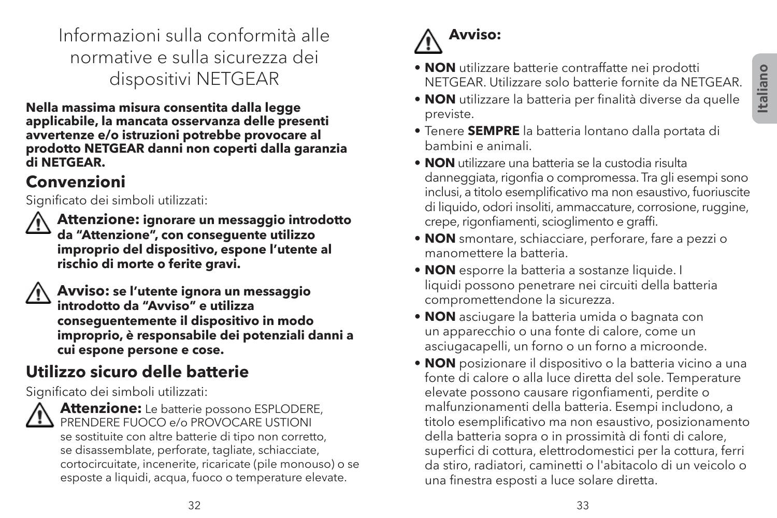Informazioni sulla conformità alle normative e sulla sicurezza dei dispositivi NETGEAR

**Nella massima misura consentita dalla legge applicabile, la mancata osservanza delle presenti avvertenze e/o istruzioni potrebbe provocare al prodotto NETGEAR danni non coperti dalla garanzia di NETGEAR.**

#### **Convenzioni**

Significato dei simboli utilizzati:

 **Attenzione: ignorare un messaggio introdotto da "Attenzione", con conseguente utilizzo improprio del dispositivo, espone l'utente al rischio di morte o ferite gravi.**

| Avviso: se l'utente ignora un messaggio          |
|--------------------------------------------------|
| introdotto da "Avviso" e utilizza                |
| conseguentemente il dispositivo in modo          |
| improprio, è responsabile dei potenziali danni a |
| cui espone persone e cose.                       |

#### **Utilizzo sicuro delle batterie**

Significato dei simboli utilizzati:



 **Attenzione:** Le batterie possono ESPLODERE, PRENDERE FUOCO e/o PROVOCARE USTIONI se sostituite con altre batterie di tipo non corretto, se disassemblate, perforate, tagliate, schiacciate, cortocircuitate, incenerite, ricaricate (pile monouso) o se esposte a liquidi, acqua, fuoco o temperature elevate.

# **Avviso:**

- **NON** utilizzare batterie contraffatte nei prodotti NETGEAR. Utilizzare solo batterie fornite da NETGEAR.
- **NON** utilizzare la batteria per finalità diverse da quelle previste.
- Tenere **SEMPRE** la batteria lontano dalla portata di bambini e animali.
- **NON** utilizzare una batteria se la custodia risulta danneggiata, rigonfia o compromessa. Tra gli esempi sono inclusi, a titolo esemplificativo ma non esaustivo, fuoriuscite di liquido, odori insoliti, ammaccature, corrosione, ruggine, crepe, rigonfiamenti, scioglimento e graffi.
- **NON** smontare, schiacciare, perforare, fare a pezzi o manomettere la batteria.
- **NON** esporre la batteria a sostanze liquide. I liquidi possono penetrare nei circuiti della batteria compromettendone la sicurezza.
- **NON** asciugare la batteria umida o bagnata con un apparecchio o una fonte di calore, come un asciugacapelli, un forno o un forno a microonde.
- **NON** posizionare il dispositivo o la batteria vicino a una fonte di calore o alla luce diretta del sole. Temperature elevate possono causare rigonfiamenti, perdite o malfunzionamenti della batteria. Esempi includono, a titolo esemplificativo ma non esaustivo, posizionamento della batteria sopra o in prossimità di fonti di calore, superfici di cottura, elettrodomestici per la cottura, ferri da stiro, radiatori, caminetti o l'abitacolo di un veicolo o una finestra esposti a luce solare diretta.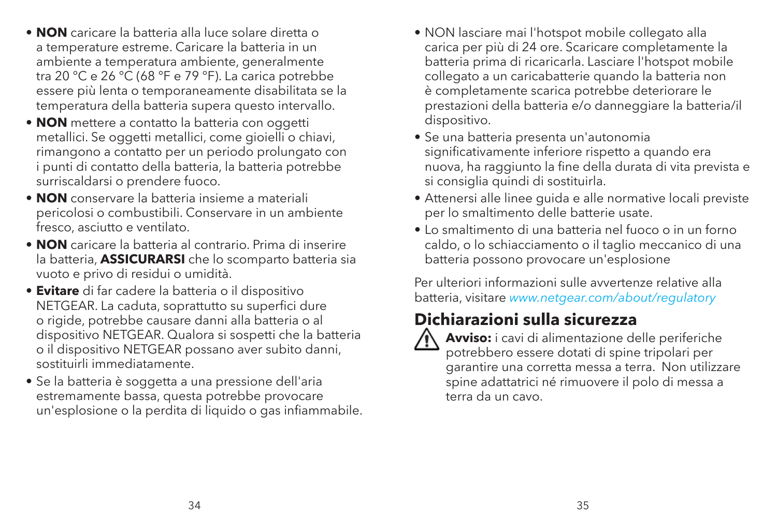- **NON** caricare la batteria alla luce solare diretta o a temperature estreme. Caricare la batteria in un ambiente a temperatura ambiente, generalmente tra 20 °C e 26 °C (68 °F e 79 °F). La carica potrebbe essere più lenta o temporaneamente disabilitata se la temperatura della batteria supera questo intervallo.
- **NON** mettere a contatto la batteria con oggetti metallici. Se oggetti metallici, come gioielli o chiavi, rimangono a contatto per un periodo prolungato con i punti di contatto della batteria, la batteria potrebbe surriscaldarsi o prendere fuoco.
- **NON** conservare la batteria insieme a materiali pericolosi o combustibili. Conservare in un ambiente fresco, asciutto e ventilato.
- **NON** caricare la batteria al contrario. Prima di inserire la batteria, **ASSICURARSI** che lo scomparto batteria sia vuoto e privo di residui o umidità.
- **Evitare** di far cadere la batteria o il dispositivo NETGEAR. La caduta, soprattutto su superfici dure o rigide, potrebbe causare danni alla batteria o al dispositivo NETGEAR. Qualora si sospetti che la batteria o il dispositivo NETGEAR possano aver subito danni, sostituirli immediatamente.
- Se la batteria è soggetta a una pressione dell'aria estremamente bassa, questa potrebbe provocare un'esplosione o la perdita di liquido o gas infiammabile.
- NON lasciare mai l'hotspot mobile collegato alla carica per più di 24 ore. Scaricare completamente la batteria prima di ricaricarla. Lasciare l'hotspot mobile collegato a un caricabatterie quando la batteria non è completamente scarica potrebbe deteriorare le prestazioni della batteria e/o danneggiare la batteria/il dispositivo.
- Se una batteria presenta un'autonomia significativamente inferiore rispetto a quando era nuova, ha raggiunto la fine della durata di vita prevista e si consiglia quindi di sostituirla.
- Attenersi alle linee guida e alle normative locali previste per lo smaltimento delle batterie usate.
- Lo smaltimento di una batteria nel fuoco o in un forno caldo, o lo schiacciamento o il taglio meccanico di una batteria possono provocare un'esplosione

Per ulteriori informazioni sulle avvertenze relative alla batteria, visitare *www.netgear.com/about/regulatory*

#### **Dichiarazioni sulla sicurezza**



 **Avviso:** i cavi di alimentazione delle periferiche potrebbero essere dotati di spine tripolari per garantire una corretta messa a terra. Non utilizzare spine adattatrici né rimuovere il polo di messa a terra da un cavo.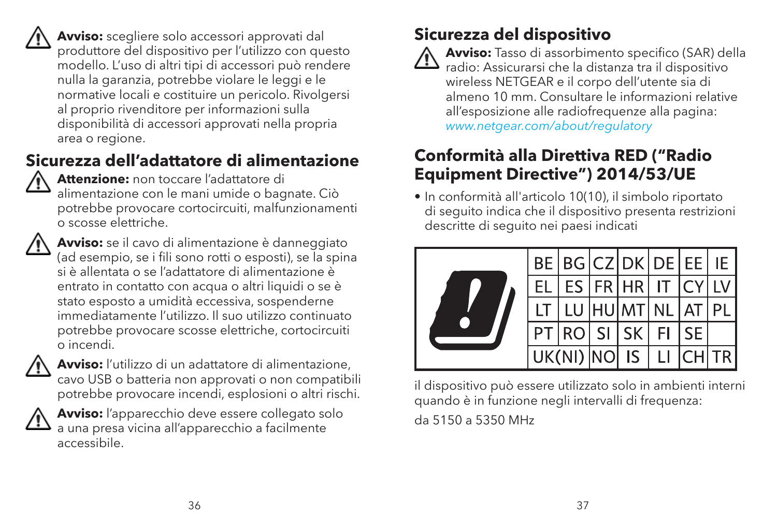**Avviso:** scegliere solo accessori approvati dal produttore del dispositivo per l'utilizzo con questo modello. L'uso di altri tipi di accessori può rendere nulla la garanzia, potrebbe violare le leggi e le normative locali e costituire un pericolo. Rivolgersi al proprio rivenditore per informazioni sulla disponibilità di accessori approvati nella propria area o regione.

#### **Sicurezza dell'adattatore di alimentazione**

 **Attenzione:** non toccare l'adattatore di alimentazione con le mani umide o bagnate. Ciò potrebbe provocare cortocircuiti, malfunzionamenti o scosse elettriche.

 **Avviso:** se il cavo di alimentazione è danneggiato (ad esempio, se i fili sono rotti o esposti), se la spina si è allentata o se l'adattatore di alimentazione è entrato in contatto con acqua o altri liquidi o se è stato esposto a umidità eccessiva, sospenderne immediatamente l'utilizzo. Il suo utilizzo continuato potrebbe provocare scosse elettriche, cortocircuiti o incendi.



 **Avviso:** l'utilizzo di un adattatore di alimentazione, cavo USB o batteria non approvati o non compatibili potrebbe provocare incendi, esplosioni o altri rischi.



 **Avviso:** l'apparecchio deve essere collegato solo a una presa vicina all'apparecchio a facilmente accessibile.

#### **Sicurezza del dispositivo**



 **Avviso:** Tasso di assorbimento specifico (SAR) della  $\mathbf{B}$  radio: Assicurarsi che la distanza tra il dispositivo wireless NETGEAR e il corpo dell'utente sia di almeno 10 mm. Consultare le informazioni relative all'esposizione alle radiofrequenze alla pagina: *www.netgear.com/about/regulatory*

#### **Conformità alla Direttiva RED ("Radio Equipment Directive") 2014/53/UE**

• In conformità all'articolo 10(10), il simbolo riportato di seguito indica che il dispositivo presenta restrizioni descritte di seguito nei paesi indicati



il dispositivo può essere utilizzato solo in ambienti interni quando è in funzione negli intervalli di frequenza: da 5150 a 5350 MHz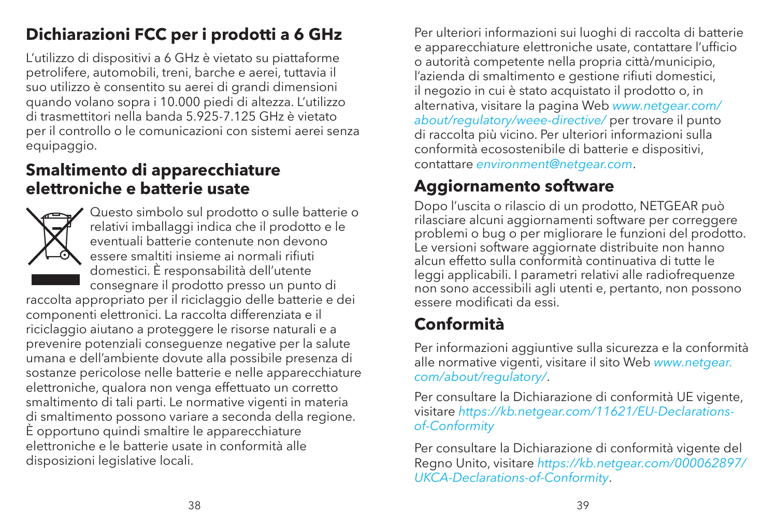#### **Dichiarazioni FCC per i prodotti a 6 GHz**

L'utilizzo di dispositivi a 6 GHz è vietato su piattaforme petrolifere, automobili, treni, barche e aerei, tuttavia il suo utilizzo è consentito su aerei di grandi dimensioni quando volano sopra i 10.000 piedi di altezza. L'utilizzo di trasmettitori nella banda 5.925-7.125 GHz è vietato per il controllo o le comunicazioni con sistemi aerei senza equipaggio.

#### **Smaltimento di apparecchiature elettroniche e batterie usate**



Questo simbolo sul prodotto o sulle batterie o relativi imballaggi indica che il prodotto e le eventuali batterie contenute non devono essere smaltiti insieme ai normali rifiuti domestici. È responsabilità dell'utente consegnare il prodotto presso un punto di

raccolta appropriato per il riciclaggio delle batterie e dei componenti elettronici. La raccolta differenziata e il riciclaggio aiutano a proteggere le risorse naturali e a prevenire potenziali conseguenze negative per la salute umana e dell'ambiente dovute alla possibile presenza di sostanze pericolose nelle batterie e nelle apparecchiature elettroniche, qualora non venga effettuato un corretto smaltimento di tali parti. Le normative vigenti in materia di smaltimento possono variare a seconda della regione. È opportuno quindi smaltire le apparecchiature elettroniche e le batterie usate in conformità alle disposizioni legislative locali.

Per ulteriori informazioni sui luoghi di raccolta di batterie e apparecchiature elettroniche usate, contattare l'ufficio o autorità competente nella propria città/municipio, l'azienda di smaltimento e gestione rifiuti domestici, il negozio in cui è stato acquistato il prodotto o, in alternativa, visitare la pagina Web *www.netgear.com/ about/regulatory/weee-directive/* per trovare il punto di raccolta più vicino. Per ulteriori informazioni sulla conformità ecosostenibile di batterie e dispositivi, contattare *environment@netgear.com*.

#### **Aggiornamento software**

Dopo l'uscita o rilascio di un prodotto, NETGEAR può rilasciare alcuni aggiornamenti software per correggere problemi o bug o per migliorare le funzioni del prodotto. Le versioni software aggiornate distribuite non hanno alcun effetto sulla conformità continuativa di tutte le leggi applicabili. I parametri relativi alle radiofrequenze non sono accessibili agli utenti e, pertanto, non possono essere modificati da essi.

#### **Conformità**

Per informazioni aggiuntive sulla sicurezza e la conformità alle normative vigenti, visitare il sito Web *www.netgear. com/about/regulatory/*.

Per consultare la Dichiarazione di conformità UE vigente, visitare *https://kb.netgear.com/11621/EU-Declarationsof-Conformity*

Per consultare la Dichiarazione di conformità vigente del Regno Unito, visitare *https://kb.netgear.com/000062897/ UKCA-Declarations-of-Conformity*.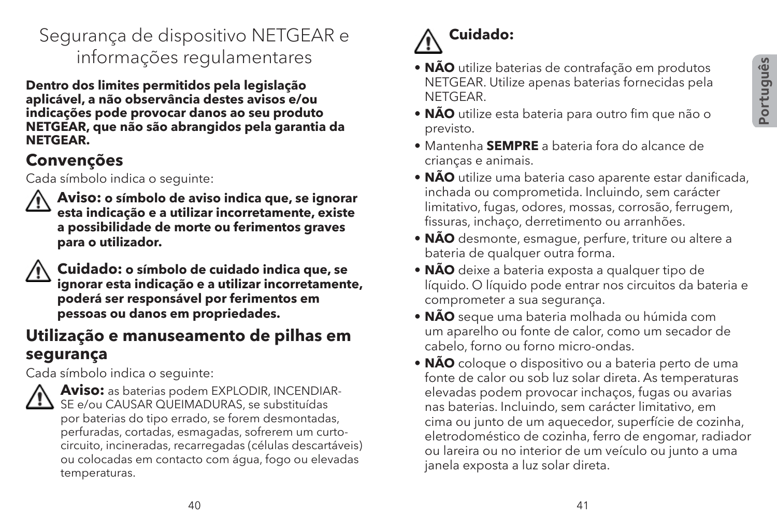#### Segurança de dispositivo NETGEAR e informações regulamentares

**Dentro dos limites permitidos pela legislação aplicável, a não observância destes avisos e/ou indicações pode provocar danos ao seu produto NETGEAR, que não são abrangidos pela garantia da NETGEAR.**

#### **Convenções**

Cada símbolo indica o seguinte:



 **Aviso: o símbolo de aviso indica que, se ignorar esta indicação e a utilizar incorretamente, existe a possibilidade de morte ou ferimentos graves para o utilizador.**



 **Cuidado: o símbolo de cuidado indica que, se ignorar esta indicação e a utilizar incorretamente, poderá ser responsável por ferimentos em pessoas ou danos em propriedades.**

#### **Utilização e manuseamento de pilhas em segurança**

Cada símbolo indica o seguinte:



 **Aviso:** as baterias podem EXPLODIR, INCENDIAR- $\sum$  SE e/ou CAUSAR OUFIMADURAS, se substituídas por baterias do tipo errado, se forem desmontadas, perfuradas, cortadas, esmagadas, sofrerem um curtocircuito, incineradas, recarregadas (células descartáveis) ou colocadas em contacto com água, fogo ou elevadas temperaturas.

# **Cuidado:**

- **NÃO** utilize baterias de contrafação em produtos NETGEAR. Utilize apenas baterias fornecidas pela **NETGEAR**
- **NÃO** utilize esta bateria para outro fim que não o previsto.
- Mantenha **SEMPRE** a bateria fora do alcance de crianças e animais.
- **NÃO** utilize uma bateria caso aparente estar danificada, inchada ou comprometida. Incluindo, sem carácter limitativo, fugas, odores, mossas, corrosão, ferrugem, fissuras, inchaço, derretimento ou arranhões.
- **NÃO** desmonte, esmague, perfure, triture ou altere a bateria de qualquer outra forma.
- **NÃO** deixe a bateria exposta a qualquer tipo de líquido. O líquido pode entrar nos circuitos da bateria e comprometer a sua segurança.
- **NÃO** seque uma bateria molhada ou húmida com um aparelho ou fonte de calor, como um secador de cabelo, forno ou forno micro-ondas.
- **NÃO** coloque o dispositivo ou a bateria perto de uma fonte de calor ou sob luz solar direta. As temperaturas elevadas podem provocar inchaços, fugas ou avarias nas baterias. Incluindo, sem carácter limitativo, em cima ou junto de um aquecedor, superfície de cozinha, eletrodoméstico de cozinha, ferro de engomar, radiador ou lareira ou no interior de um veículo ou junto a uma janela exposta a luz solar direta.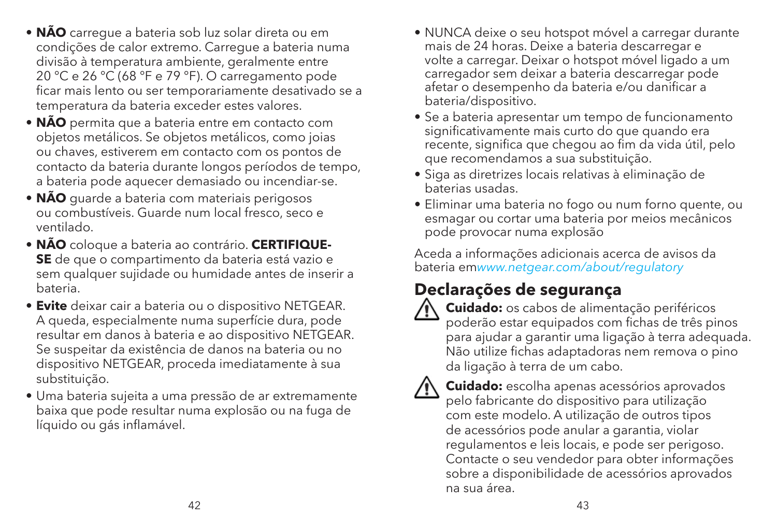- **NÃO** carregue a bateria sob luz solar direta ou em condições de calor extremo. Carregue a bateria numa divisão à temperatura ambiente, geralmente entre 20 °C e 26 °C (68 °F e 79 °F). O carregamento pode ficar mais lento ou ser temporariamente desativado se a temperatura da bateria exceder estes valores.
- **NÃO** permita que a bateria entre em contacto com objetos metálicos. Se objetos metálicos, como joias ou chaves, estiverem em contacto com os pontos de contacto da bateria durante longos períodos de tempo, a bateria pode aquecer demasiado ou incendiar-se.
- **NÃO** guarde a bateria com materiais perigosos ou combustíveis. Guarde num local fresco, seco e ventilado.
- **NÃO** coloque a bateria ao contrário. **CERTIFIQUE-SE** de que o compartimento da bateria está vazio e sem qualquer sujidade ou humidade antes de inserir a bateria.
- **Evite** deixar cair a bateria ou o dispositivo NETGEAR. A queda, especialmente numa superfície dura, pode resultar em danos à bateria e ao dispositivo NETGEAR. Se suspeitar da existência de danos na bateria ou no dispositivo NETGEAR, proceda imediatamente à sua substituição.
- Uma bateria sujeita a uma pressão de ar extremamente baixa que pode resultar numa explosão ou na fuga de líquido ou gás inflamável.
- NUNCA deixe o seu hotspot móvel a carregar durante mais de 24 horas. Deixe a bateria descarregar e volte a carregar. Deixar o hotspot móvel ligado a um carregador sem deixar a bateria descarregar pode afetar o desempenho da bateria e/ou danificar a bateria/dispositivo.
- Se a bateria apresentar um tempo de funcionamento significativamente mais curto do que quando era recente, significa que chegou ao fim da vida útil, pelo que recomendamos a sua substituição.
- Siga as diretrizes locais relativas à eliminação de baterias usadas.
- Eliminar uma bateria no fogo ou num forno quente, ou esmagar ou cortar uma bateria por meios mecânicos pode provocar numa explosão

Aceda a informações adicionais acerca de avisos da bateria em*www.netgear.com/about/regulatory*

#### **Declarações de segurança**



 **Cuidado:** os cabos de alimentação periféricos poderão estar equipados com fichas de três pinos para ajudar a garantir uma ligação à terra adequada. Não utilize fichas adaptadoras nem remova o pino da ligação à terra de um cabo.



 **Cuidado:** escolha apenas acessórios aprovados pelo fabricante do dispositivo para utilização com este modelo. A utilização de outros tipos de acessórios pode anular a garantia, violar regulamentos e leis locais, e pode ser perigoso. Contacte o seu vendedor para obter informações sobre a disponibilidade de acessórios aprovados na sua área.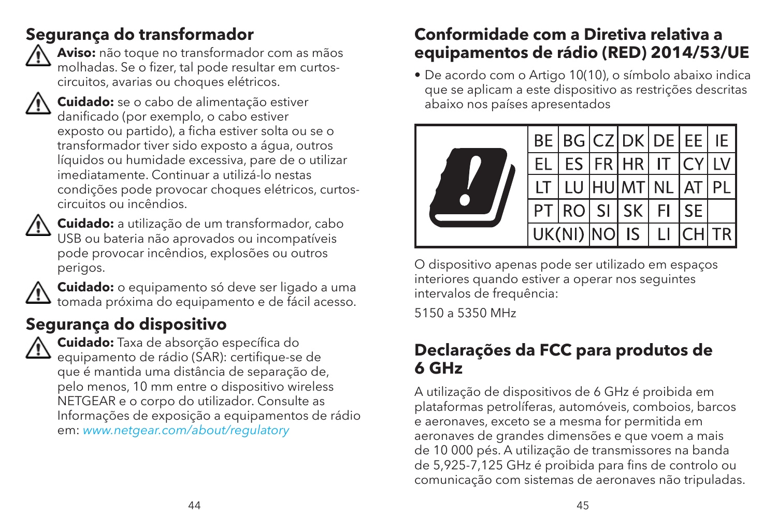#### **Segurança do transformador**



 **Aviso:** não toque no transformador com as mãos molhadas. Se o fizer, tal pode resultar em curtoscircuitos, avarias ou choques elétricos.



 **Cuidado:** se o cabo de alimentação estiver danificado (por exemplo, o cabo estiver exposto ou partido), a ficha estiver solta ou se o transformador tiver sido exposto a água, outros líquidos ou humidade excessiva, pare de o utilizar imediatamente. Continuar a utilizá-lo nestas condições pode provocar choques elétricos, curtoscircuitos ou incêndios.



 **Cuidado:** a utilização de um transformador, cabo USB ou bateria não aprovados ou incompatíveis pode provocar incêndios, explosões ou outros perigos.



 **Cuidado:** o equipamento só deve ser ligado a uma tomada próxima do equipamento e de fácil acesso.

#### **Segurança do dispositivo**



 **Cuidado:** Taxa de absorção específica do equipamento de rádio (SAR): certifique-se de que é mantida uma distância de separação de, pelo menos, 10 mm entre o dispositivo wireless NETGEAR e o corpo do utilizador. Consulte as Informações de exposição a equipamentos de rádio em: *www.netgear.com/about/regulatory*

#### **Conformidade com a Diretiva relativa a equipamentos de rádio (RED) 2014/53/UE**

• De acordo com o Artigo 10(10), o símbolo abaixo indica que se aplicam a este dispositivo as restrições descritas abaixo nos países apresentados



O dispositivo apenas pode ser utilizado em espaços interiores quando estiver a operar nos seguintes intervalos de frequência:

5150 a 5350 MHz

#### **Declarações da FCC para produtos de 6 GHz**

A utilização de dispositivos de 6 GHz é proibida em plataformas petrolíferas, automóveis, comboios, barcos e aeronaves, exceto se a mesma for permitida em aeronaves de grandes dimensões e que voem a mais de 10 000 pés. A utilização de transmissores na banda de 5,925-7,125 GHz é proibida para fins de controlo ou comunicação com sistemas de aeronaves não tripuladas.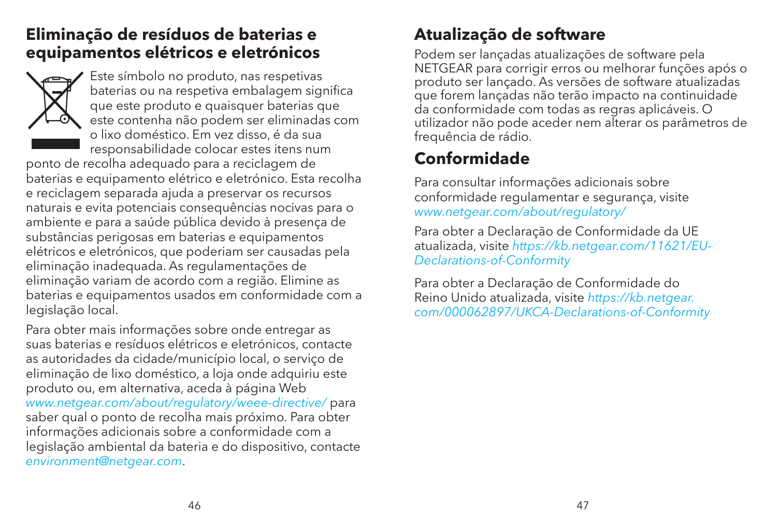#### **Eliminação de resíduos de baterias e equipamentos elétricos e eletrónicos**



Este símbolo no produto, nas respetivas baterias ou na respetiva embalagem significa que este produto e quaisquer baterias que este contenha não podem ser eliminadas com o lixo doméstico. Em vez disso, é da sua responsabilidade colocar estes itens num

ponto de recolha adequado para a reciclagem de baterias e equipamento elétrico e eletrónico. Esta recolha e reciclagem separada ajuda a preservar os recursos naturais e evita potenciais consequências nocivas para o ambiente e para a saúde pública devido à presença de substâncias perigosas em baterias e equipamentos elétricos e eletrónicos, que poderiam ser causadas pela eliminação inadequada. As regulamentações de eliminação variam de acordo com a região. Elimine as baterias e equipamentos usados em conformidade com a legislação local.

Para obter mais informações sobre onde entregar as suas baterias e resíduos elétricos e eletrónicos, contacte as autoridades da cidade/município local, o serviço de eliminação de lixo doméstico, a loja onde adquiriu este produto ou, em alternativa, aceda à página Web *www.netgear.com/about/regulatory/weee-directive/* para saber qual o ponto de recolha mais próximo. Para obter informações adicionais sobre a conformidade com a legislação ambiental da bateria e do dispositivo, contacte *environment@netgear.com*.

#### **Atualização de software**

Podem ser lançadas atualizações de software pela NETGEAR para corrigir erros ou melhorar funções após o produto ser lançado. As versões de software atualizadas que forem lançadas não terão impacto na continuidade da conformidade com todas as regras aplicáveis. O utilizador não pode aceder nem alterar os parâmetros de frequência de rádio.

#### **Conformidade**

Para consultar informações adicionais sobre conformidade regulamentar e segurança, visite *www.netgear.com/about/regulatory/*

Para obter a Declaração de Conformidade da UE atualizada, visite *https://kb.netgear.com/11621/EU-Declarations-of-Conformity*

Para obter a Declaração de Conformidade do Reino Unido atualizada, visite *https://kb.netgear. com/000062897/UKCA-Declarations-of-Conformity*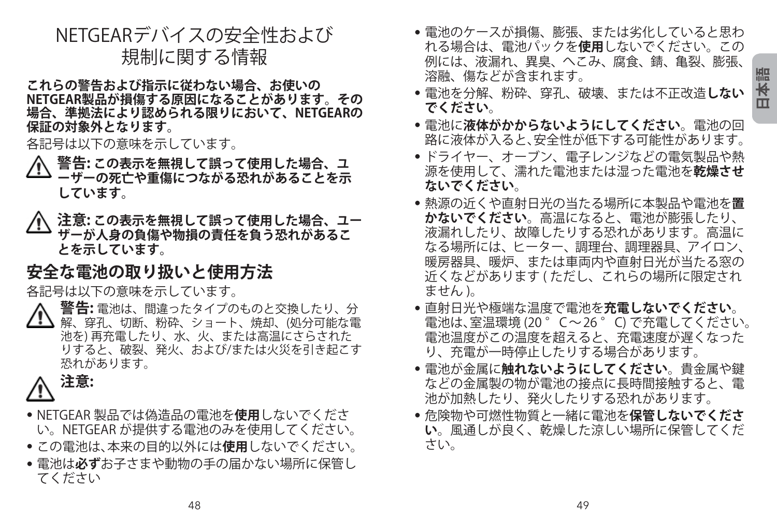#### NETGEARデバイスの安全性および 規制に関する情報

**これらの警告および指示に従わない場合、お使いの NETGEAR製品が損傷する原因になることがあります。その 場合、準拠法により認められる限りにおいて、NETGEARの 保証の対象外となります。**

各記号は以下の意味を示しています。

- **警告: この表示を無視して誤って使用した場合、ユ ーザーの死亡や重傷につながる恐れがあることを示 しています。**
- **注意: この表示を無視して誤って使用した場合、ユー ザーが人身の負傷や物損の責任を負う恐れがあるこ とを示しています。**

#### **安全な電池の取り扱いと使用方法**

各記号は以下の意味を示しています。

 **警告:** 電池は、間違ったタイプのものと交換したり、分 解、穿孔、切断、粉砕、ショート、焼却、(処分可能な電 池を) 再充電したり、水、火、または高温にさらされた りすると、破裂、発火、および/または火災を引き起こす 恐れがあります。

## **注意:**

- NETGEAR 製品では偽造品の電池を**使用**しないでくださ い。NETGEAR が提供する電池のみを使用してください。
- この電池は、本来の目的以外には**使用**しないでください。
- 電池は**必ず**お子さまや動物の手の届かない場所に保管し てください
- 電池のケースが損傷、膨張、または劣化していると思わ れる場合は、電池パックを**使用**しないでください。この 例には、液漏れ、異臭、へこみ、腐食、錆、亀裂、膨張、 溶融、傷などが含まれます。
- 電池を分解、粉砕、穿孔、破壊、または不正改造**しない でください**。
- 電池に**液体がかからないようにしてください**。電池の回 路に液体が入ると、安全性が低下する可能性があります。
- ドライヤー、オーブン、電子レンジなどの電気製品や熱 源を使用して、濡れた電池または湿った電池を**乾燥させ ないでください**。
- 熱源の近くや直射日光の当たる場所に本製品や電池を**置 かないでください**。高温になると、電池が膨張したり、 液漏れしたり、故障したりする恐れがあります。高温に なる場所には、ヒーター、調理台、調理器具、アイロン、 暖房器具、暖炉、または車両内や直射日光が当たる窓の 近くなどがあります ( ただし、これらの場所に限定され ません )。
- 直射日光や極端な温度で電池を**充電しないでください**。 電池は、室温環境 (20 ° C ~ 26 ° C) で充電してください。 電池温度がこの温度を超えると、充電速度が遅くなった り、充電が一時停止したりする場合があります。
- 電池が金属に**触れないようにしてください**。貴金属や鍵 などの金属製の物が電池の接点に長時間接触すると、電 池が加熱したり、発火したりする恐れがあります。
- 危険物や可燃性物質と一緒に電池を**保管しないでくださ い**。風通しが良く、乾燥した涼しい場所に保管してくだ さい。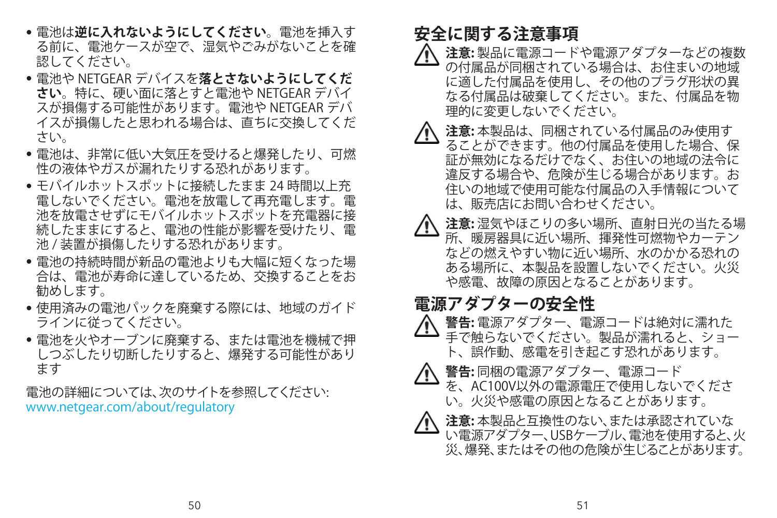- 電池は**逆に入れないようにしてください**。電池を挿入す る前に、電池ケースが空で、湿気やごみがないことを確 認してください。
- 電池や NETGEAR デバイスを**落とさないようにしてくだ さい**。特に、硬い面に落とすと電池や NETGEAR デバイ スが損傷する可能性があります。電池や NETGEAR デバ イスが損傷したと思われる場合は、直ちに交換してくだ さい。
- 電池は、非常に低い大気圧を受けると爆発したり、可燃 性の液体やガスが漏れたりする恐れがあります。
- モバイルホットスポットに接続したまま 24 時間以上充 電しないでください。電池を放電して再充電します。電 池を放電させずにモバイルホットスポットを充電器に接 続したままにすると、電池の性能が影響を受けたり、電 池 / 装置が損傷したりする恐れがあります。
- 電池の持続時間が新品の電池よりも大幅に短くなった場 合は、電池が寿命に達しているため、交換することをお 勧めします。
- 使用済みの電池パックを廃棄する際には、地域のガイド ラインに従ってください。
- 電池を火やオーブンに廃棄する、または電池を機械で押 しつぶしたり切断したりすると、爆発する可能性があり ます

電池の詳細については、次のサイトを参照してください: www.netgear.com/about/regulatory

#### **安全に関する注意事項**

- **注意:** 製品に電源コードや電源アダプターなどの複数 の付属品が同梱されている場合は、お住まいの地域 に適した付属品を使用し、その他のプラグ形状の異 なる付属品は破棄してください。また、付属品を物 理的に変更しないでください。
- **注意:** 本製品は、同梱されている付属品のみ使用す ることができます。他の付属品を使用した場合、保 証が無効になるだけでなく、お住いの地域の法令に 違反する場合や、危険が生じる場合があります。お 住いの地域で使用可能な付属品の入手情報について は、販売店にお問い合わせください。
- **注意:** 湿気やほこりの多い場所、直射日光の当たる場 所、暖房器具に近い場所、揮発性可燃物やカーテン などの燃えやすい物に近い場所、水のかかる恐れの ある場所に、本製品を設置しないでください。火災 や感電、故障の原因となることがあります。

#### **電源アダプターの安全性**

- **警告:** 電源アダプター、電源コードは絶対に濡れた 手で触らないでください。製品が濡れると、ショー ト、誤作動、感電を引き起こす恐れがあります。
- **警告:** 同梱の電源アダプター、電源コード
	- を、AC100V以外の電源電圧で使用しないでくださ い。火災や感電の原因となることがあります。



 **注意:** 本製品と互換性のない、または承認されていな い電源アダプター、USBケーブル、電池を使用すると、火 災、爆発、またはその他の危険が生じることがあります。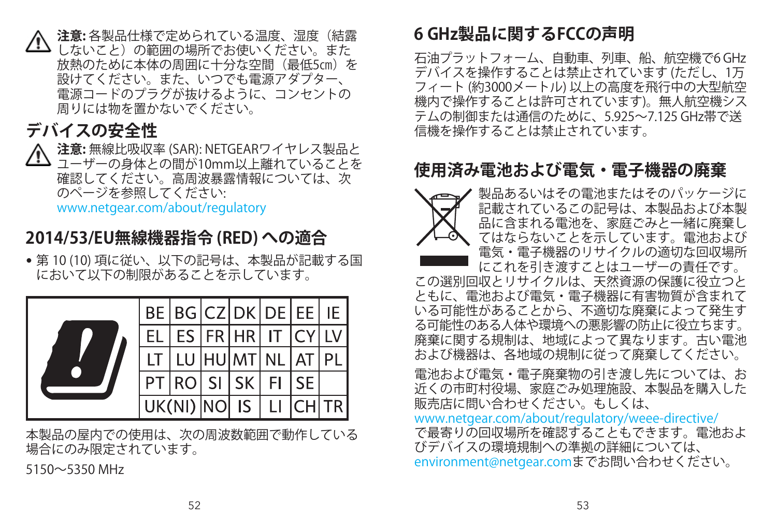**注意:** 各製品仕様で定められている温度、湿度(結露 しないこと)の範囲の場所でお使いください。また 放熱のために本体の周囲に十分な空間(最低5㎝)を 設けてください。また、いつでも電源アダプター、 電源コードのプラグが抜けるように、コンセントの 周りには物を置かないでください。

#### **デバイスの安全性**

 **注意:** 無線比吸収率 (SAR): NETGEARワイヤレス製品と ユーザーの身体との間が10mm以上離れていることを 確認してください。高周波暴露情報については、次 のページを参照してください:

www.netgear.com/about/regulatory

#### **2014/53/EU無線機器指令 (RED) への適合**

• 第 10 (10) 項に従い、以下の記号は、本製品が記載する国 において以下の制限があることを示しています。



本製品の屋内での使用は、次の周波数範囲で動作している 場合にのみ限定されています。

5150~5350 MHz

#### **6 GHz製品に関するFCCの声明**

石油プラットフォーム、自動車、列車、船、航空機で6 GHz デバイスを操作することは禁止されています (ただし、1万 フィート (約3000メートル) 以上の高度を飛行中の大型航空 機内で操作することは許可されています)。無人航空機シス テムの制御または通信のために、5.925~7.125 GHz帯で送 信機を操作することは禁止されています。

#### **使用済み電池および電気・電子機器の廃棄**



製品あるいはその電池またはそのパッケージに 記載されているこの記号は、本製品および本製 品に含まれる電池を、家庭ごみと一緒に廃棄し てはならないことを示しています。電池および 電気・電子機器のリサイクルの適切な回収場所 にこれを引き渡すことはユーザーの責任です。

この選別回収とリサイクルは、天然資源の保護に役立つと ともに、電池および電気・電子機器に有害物質が含まれて いる可能性があることから、不適切な廃棄によって発生す る可能性のある人体や環境への悪影響の防止に役立ちます。 廃棄に関する規制は、地域によって異なります。古い電池 および機器は、各地域の規制に従って廃棄してください。

電池および電気・電子廃棄物の引き渡し先については、お 近くの市町村役場、家庭ごみ処理施設、本製品を購入した 販売店に問い合わせください。もしくは、

#### [www.netgear.com/about/regulatory/weee-directive/](http://www.netgear.com/about/regulatory/weee-directive/) で最寄りの回収場所を確認することもできます。電池およ びデバイスの環境規制への準拠の詳細については、 [environment@netgear.comま](http://environment@netgear.com)でお問い合わせください。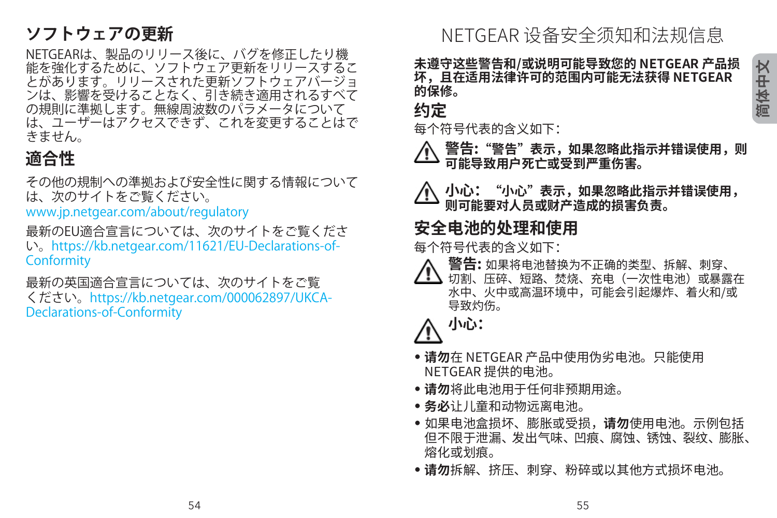#### **ソフトウェアの更新**

NETGEARは、製品のリリース後に、バグを修正したり機 能を強化するために、ソフトウェア更新をリリースするこ とがあります。リリースされた更新ソフトウェアバージョ ンは、影響を受けることなく、引き続き適用されるすべて の規則に準拠します。無線周波数のパラメータについて は、ユーザーはアクセスできず、これを変更することはで きません。

#### **適合性**

その他の規制への準拠および安全性に関する情報について は、次のサイトをご覧ください。

www.jp.netgear.com/about/regulatory

最新のFU滴合宣言については、次のサイトをご覧くださ い。https://kb.netgear.com/11621/EU-Declarations-of-**Conformity** 

最新の英国適合宣言については、次のサイトをご覧 ください。https://kb.netgear.com/000062897/UKCA-Declarations-of-Conformity

NETGEAR 设备安全须知和法规信息

**未遵守这些警告和/或说明可能导致您的 NETGEAR 产品损 坏,且在适用法律许可的范围内可能无法获得 NETGEAR 的保修。**

**约定**

每个符号代表的含义如下:

 **警告:"警告"表示,如果忽略此指示并错误使用,则 可能导致用户死亡或受到严重伤害。**

 **小心:"小心"表示,如果忽略此指示并错误使用, 则可能要对人员或财产造成的损害负责。**

#### **安全电池的处理和使用**

每个符号代表的含义如下:

- **警告:** 如果将电池替换为不正确的类型、拆解、刺穿、 <u>/ ● 切割、压碎、短路、焚烧、充电(一次性电池)或暴露在</u>
	- 水中、火中或高温环境中,可能会引起爆炸、着火和/或 导致灼伤。

**小心:**

- **请勿**在 NETGEAR 产品中使用伪劣电池。只能使用 NETGEAR 提供的电池。
- **请勿**将此电池用于任何非预期用途。
- **务必**让儿童和动物远离电池。
- 如果电池盒损坏、膨胀或受损,**请勿**使用电池。示例包括 但不限于泄漏、发出气味、凹痕、腐蚀、锈蚀、裂纹、膨胀、 熔化或划痕。
- **请勿**拆解、挤压、刺穿、粉碎或以其他方式损坏电池。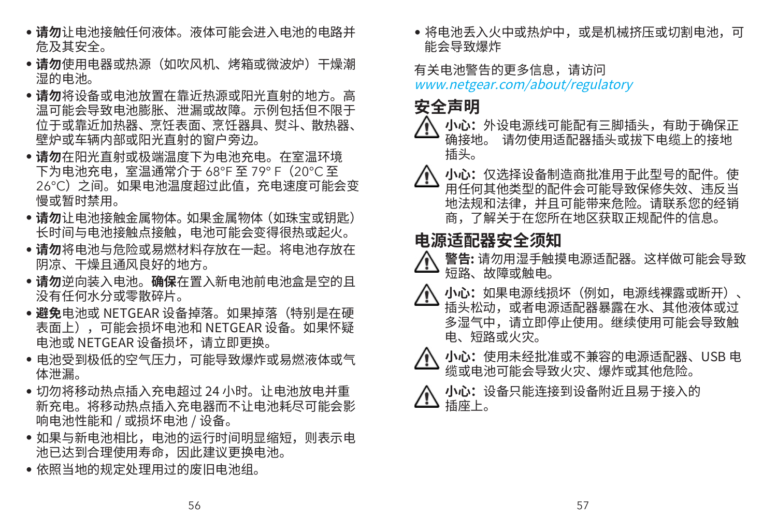- **请勿**让电池接触任何液体。液体可能会进入电池的电路并 危及其安全。
- **请勿**使用电器或热源(如吹风机、烤箱或微波炉)干燥潮 湿的电池。
- **请勿**将设备或电池放置在靠近热源或阳光直射的地方。高 温可能会导致电池膨胀、泄漏或故障。示例包括但不限于 位于或靠近加热器、烹饪表面、烹饪器具、熨斗、散热器、 壁炉或车辆内部或阳光直射的窗户旁边。
- **请勿**在阳光直射或极端温度下为电池充电。在室温环境 下为电池充电,室温通常介于 68°F 至 79° F(20°C 至 26°C) 之间。如果电池温度超过此值,充电速度可能会变 慢或暂时禁用。
- **请勿**让电池接触金属物体。如果金属物体(如珠宝或钥匙) 长时间与电池接触点接触,电池可能会变得很热或起火。
- **请勿**将电池与危险或易燃材料存放在一起。将电池存放在 阴凉、干燥且通风良好的地方。
- **请勿**逆向装入电池。**确保**在置入新电池前电池盒是空的且 没有任何水分或零散碎片。
- **避免**电池或 NETGEAR 设备掉落。如果掉落(特别是在硬 表面上),可能会损坏电池和 NETGEAR 设备。如果怀疑 电池或 NETGEAR 设备损坏,请立即更换。
- 电池受到极低的空气压力,可能导致爆炸或易燃液体或气 体泄漏。
- 切勿将移动热点插入充电超过 24 小时。让电池放电并重 新充电。将移动热点插入充电器而不让电池耗尽可能会影 响电池性能和 / 或损坏电池 / 设备。
- 如果与新电池相比,电池的运行时间明显缩短,则表示电 池已达到合理使用寿命,因此建议更换电池。
- 依照当地的规定处理用过的废旧电池组。

• 将电池丢入火中或热炉中,或是机械挤压或切割电池,可 能会导致爆炸

#### 有关电池警告的更多信息,请访问 www.netgear.com/about/regulatory

### **安全声明**

- **小心:**外设电源线可能配有三脚插头,有助于确保正<br>确接地。 请勿使用适配器插头或拔下电缆上的接地 请勿使用适配器插头或拔下电缆上的接地 插头。
- **小心:**仅选择设备制造商批准用于此型号的配件。使 用任何其他类型的配件会可能导致保修失效、违反当 地法规和法律,并且可能带来危险。请联系您的经销 商,了解关于在您所在地区获取正规配件的信息。

#### **电源适配器安全须知**

- **警告:** 请勿用湿手触摸电源适配器。这样做可能会导致 短路、故障或触电。
- **小心:**如果电源线损坏(例如,电源线裸露或断开)、 插头松动,或者电源适配器暴露在水、其他液体或过 多湿气中,请立即停止使用。继续使用可能会导致触 电、短路或火灾。



 **小心:**使用未经批准或不兼容的电源适配器、USB 电 缆或电池可能会导致火灾、爆炸或其他危险。

 **小心:**设备只能连接到设备附近且易于接入的 插座上。